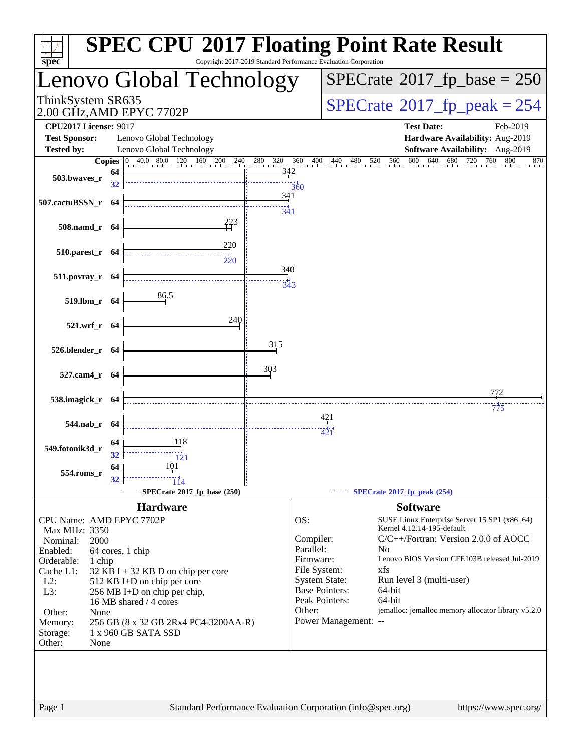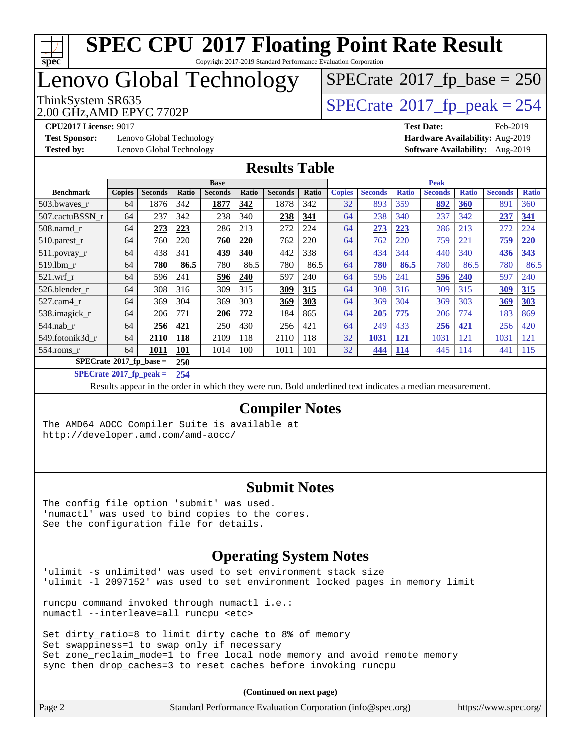

Copyright 2017-2019 Standard Performance Evaluation Corporation

# Lenovo Global Technology

ThinkSystem SR635<br>2.00 GHz AMD EPYC 7702P<br> $\begin{array}{c} | \text{SPECrate} \textcirc 2017\_fp\_peak = 254 \end{array}$  $\begin{array}{c} | \text{SPECrate} \textcirc 2017\_fp\_peak = 254 \end{array}$  $\begin{array}{c} | \text{SPECrate} \textcirc 2017\_fp\_peak = 254 \end{array}$  $SPECrate$ <sup>®</sup>[2017\\_fp\\_base =](http://www.spec.org/auto/cpu2017/Docs/result-fields.html#SPECrate2017fpbase) 250

2.00 GHz,AMD EPYC 7702P

**[Test Sponsor:](http://www.spec.org/auto/cpu2017/Docs/result-fields.html#TestSponsor)** Lenovo Global Technology **[Hardware Availability:](http://www.spec.org/auto/cpu2017/Docs/result-fields.html#HardwareAvailability)** Aug-2019

**[CPU2017 License:](http://www.spec.org/auto/cpu2017/Docs/result-fields.html#CPU2017License)** 9017 **[Test Date:](http://www.spec.org/auto/cpu2017/Docs/result-fields.html#TestDate)** Feb-2019 **[Tested by:](http://www.spec.org/auto/cpu2017/Docs/result-fields.html#Testedby)** Lenovo Global Technology **[Software Availability:](http://www.spec.org/auto/cpu2017/Docs/result-fields.html#SoftwareAvailability)** Aug-2019

#### **[Results Table](http://www.spec.org/auto/cpu2017/Docs/result-fields.html#ResultsTable)**

|                                         | <b>Base</b>   |                |            |                |       |                | <b>Peak</b> |               |                |              |                |              |                |              |
|-----------------------------------------|---------------|----------------|------------|----------------|-------|----------------|-------------|---------------|----------------|--------------|----------------|--------------|----------------|--------------|
| <b>Benchmark</b>                        | <b>Copies</b> | <b>Seconds</b> | Ratio      | <b>Seconds</b> | Ratio | <b>Seconds</b> | Ratio       | <b>Copies</b> | <b>Seconds</b> | <b>Ratio</b> | <b>Seconds</b> | <b>Ratio</b> | <b>Seconds</b> | <b>Ratio</b> |
| 503.bwayes_r                            | 64            | 1876           | 342        | 1877           | 342   | 1878           | 342         | 32            | 893            | 359          | 892            | 360          | 891            | 360          |
| 507.cactuBSSN r                         | 64            | 237            | 342        | 238            | 340   | 238            | 341         | 64            | 238            | 340          | 237            | 342          | 237            | 341          |
| $508$ .namd $r$                         | 64            | 273            | 223        | 286            | 213   | 272            | 224         | 64            | 273            | 223          | 286            | 213          | 272            | 224          |
| $510$ . parest r                        | 64            | 760            | 220        | 760            | 220   | 762            | 220         | 64            | 762            | 220          | 759            | 221          | 759            | 220          |
| 511.povray_r                            | 64            | 438            | 341        | 439            | 340   | 442            | 338         | 64            | 434            | 344          | 440            | 340          | 436            | 343          |
| $519$ .lbm $r$                          | 64            | 780            | 86.5       | 780            | 86.5  | 780            | 86.5        | 64            | 780            | 86.5         | 780            | 86.5         | 780            | 86.5         |
| $521$ .wrf r                            | 64            | 596            | 241        | 596            | 240   | 597            | 240         | 64            | 596            | 241          | 596            | 240          | 597            | 240          |
| 526.blender r                           | 64            | 308            | 316        | 309            | 315   | 309            | 315         | 64            | 308            | 316          | 309            | 315          | 309            | 315          |
| 527.cam4 r                              | 64            | 369            | 304        | 369            | 303   | 369            | 303         | 64            | 369            | 304          | 369            | 303          | 369            | 303          |
| 538.imagick_r                           | 64            | 206            | 771        | 206            | 772   | 184            | 865         | 64            | 205            | 775          | 206            | 774          | 183            | 869          |
| $544$ .nab r                            | 64            | 256            | 421        | 250            | 430   | 256            | 421         | 64            | 249            | 433          | 256            | 421          | 256            | 420          |
| 549.fotonik3d r                         | 64            | 2110           | 118        | 2109           | 118   | 2110           | 118         | 32            | 1031           | <u>121</u>   | 1031           | 121          | 1031           | 121          |
| $554$ .roms_r                           | 64            | 1011           | <b>101</b> | 1014           | 100   | 1011           | 101         | 32            | 444            | <b>114</b>   | 445            | 114          | 441            | 115          |
| $SPECrate^{\circ}2017$ fp base =<br>250 |               |                |            |                |       |                |             |               |                |              |                |              |                |              |

**[SPECrate](http://www.spec.org/auto/cpu2017/Docs/result-fields.html#SPECrate2017fppeak)[2017\\_fp\\_peak =](http://www.spec.org/auto/cpu2017/Docs/result-fields.html#SPECrate2017fppeak) 254**

Results appear in the [order in which they were run.](http://www.spec.org/auto/cpu2017/Docs/result-fields.html#RunOrder) Bold underlined text [indicates a median measurement.](http://www.spec.org/auto/cpu2017/Docs/result-fields.html#Median)

#### **[Compiler Notes](http://www.spec.org/auto/cpu2017/Docs/result-fields.html#CompilerNotes)**

The AMD64 AOCC Compiler Suite is available at <http://developer.amd.com/amd-aocc/>

#### **[Submit Notes](http://www.spec.org/auto/cpu2017/Docs/result-fields.html#SubmitNotes)**

The config file option 'submit' was used. 'numactl' was used to bind copies to the cores. See the configuration file for details.

#### **[Operating System Notes](http://www.spec.org/auto/cpu2017/Docs/result-fields.html#OperatingSystemNotes)**

'ulimit -s unlimited' was used to set environment stack size 'ulimit -l 2097152' was used to set environment locked pages in memory limit

runcpu command invoked through numactl i.e.: numactl --interleave=all runcpu <etc>

Set dirty\_ratio=8 to limit dirty cache to 8% of memory Set swappiness=1 to swap only if necessary Set zone\_reclaim\_mode=1 to free local node memory and avoid remote memory sync then drop\_caches=3 to reset caches before invoking runcpu

**(Continued on next page)**

| Page 2 | Standard Performance Evaluation Corporation (info@spec.org) | https://www.spec.org/ |
|--------|-------------------------------------------------------------|-----------------------|
|        |                                                             |                       |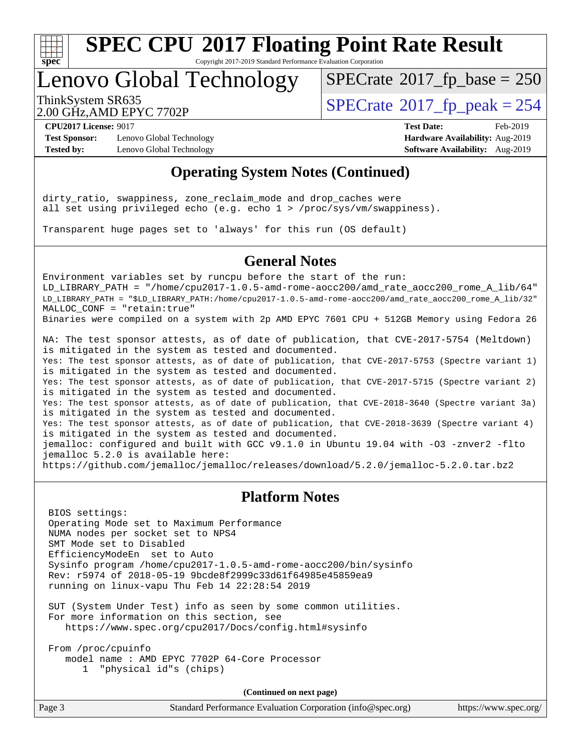

Copyright 2017-2019 Standard Performance Evaluation Corporation

## Lenovo Global Technology

 $SPECTate$ <sup>®</sup>[2017\\_fp\\_base =](http://www.spec.org/auto/cpu2017/Docs/result-fields.html#SPECrate2017fpbase) 250

2.00 GHz,AMD EPYC 7702P

ThinkSystem SR635<br>2.00 GHz AMD FPYC 7702P<br> $\begin{array}{c} | \text{SPECrate} \textcirc 2017\_fp\_peak = 254 \end{array}$  $\begin{array}{c} | \text{SPECrate} \textcirc 2017\_fp\_peak = 254 \end{array}$  $\begin{array}{c} | \text{SPECrate} \textcirc 2017\_fp\_peak = 254 \end{array}$ 

**[Test Sponsor:](http://www.spec.org/auto/cpu2017/Docs/result-fields.html#TestSponsor)** Lenovo Global Technology **[Hardware Availability:](http://www.spec.org/auto/cpu2017/Docs/result-fields.html#HardwareAvailability)** Aug-2019 **[Tested by:](http://www.spec.org/auto/cpu2017/Docs/result-fields.html#Testedby)** Lenovo Global Technology **[Software Availability:](http://www.spec.org/auto/cpu2017/Docs/result-fields.html#SoftwareAvailability)** Aug-2019

**[CPU2017 License:](http://www.spec.org/auto/cpu2017/Docs/result-fields.html#CPU2017License)** 9017 **[Test Date:](http://www.spec.org/auto/cpu2017/Docs/result-fields.html#TestDate)** Feb-2019

#### **[Operating System Notes \(Continued\)](http://www.spec.org/auto/cpu2017/Docs/result-fields.html#OperatingSystemNotes)**

dirty\_ratio, swappiness, zone\_reclaim\_mode and drop\_caches were all set using privileged echo (e.g. echo 1 > /proc/sys/vm/swappiness).

Transparent huge pages set to 'always' for this run (OS default)

#### **[General Notes](http://www.spec.org/auto/cpu2017/Docs/result-fields.html#GeneralNotes)**

Environment variables set by runcpu before the start of the run: LD LIBRARY PATH = "/home/cpu2017-1.0.5-amd-rome-aocc200/amd rate aocc200 rome A lib/64" LD\_LIBRARY\_PATH = "\$LD\_LIBRARY\_PATH:/home/cpu2017-1.0.5-amd-rome-aocc200/amd\_rate\_aocc200\_rome\_A\_lib/32" MALLOC\_CONF = "retain:true" Binaries were compiled on a system with 2p AMD EPYC 7601 CPU + 512GB Memory using Fedora 26

NA: The test sponsor attests, as of date of publication, that CVE-2017-5754 (Meltdown) is mitigated in the system as tested and documented. Yes: The test sponsor attests, as of date of publication, that CVE-2017-5753 (Spectre variant 1) is mitigated in the system as tested and documented. Yes: The test sponsor attests, as of date of publication, that CVE-2017-5715 (Spectre variant 2) is mitigated in the system as tested and documented. Yes: The test sponsor attests, as of date of publication, that CVE-2018-3640 (Spectre variant 3a) is mitigated in the system as tested and documented. Yes: The test sponsor attests, as of date of publication, that CVE-2018-3639 (Spectre variant 4) is mitigated in the system as tested and documented. jemalloc: configured and built with GCC v9.1.0 in Ubuntu 19.04 with -O3 -znver2 -flto jemalloc 5.2.0 is available here: <https://github.com/jemalloc/jemalloc/releases/download/5.2.0/jemalloc-5.2.0.tar.bz2>

#### **[Platform Notes](http://www.spec.org/auto/cpu2017/Docs/result-fields.html#PlatformNotes)**

 BIOS settings: Operating Mode set to Maximum Performance NUMA nodes per socket set to NPS4 SMT Mode set to Disabled EfficiencyModeEn set to Auto Sysinfo program /home/cpu2017-1.0.5-amd-rome-aocc200/bin/sysinfo Rev: r5974 of 2018-05-19 9bcde8f2999c33d61f64985e45859ea9 running on linux-vapu Thu Feb 14 22:28:54 2019

 SUT (System Under Test) info as seen by some common utilities. For more information on this section, see <https://www.spec.org/cpu2017/Docs/config.html#sysinfo>

 From /proc/cpuinfo model name : AMD EPYC 7702P 64-Core Processor 1 "physical id"s (chips)

**(Continued on next page)**

| Page 3<br>Standard Performance Evaluation Corporation (info@spec.org) | https://www.spec.org/ |
|-----------------------------------------------------------------------|-----------------------|
|-----------------------------------------------------------------------|-----------------------|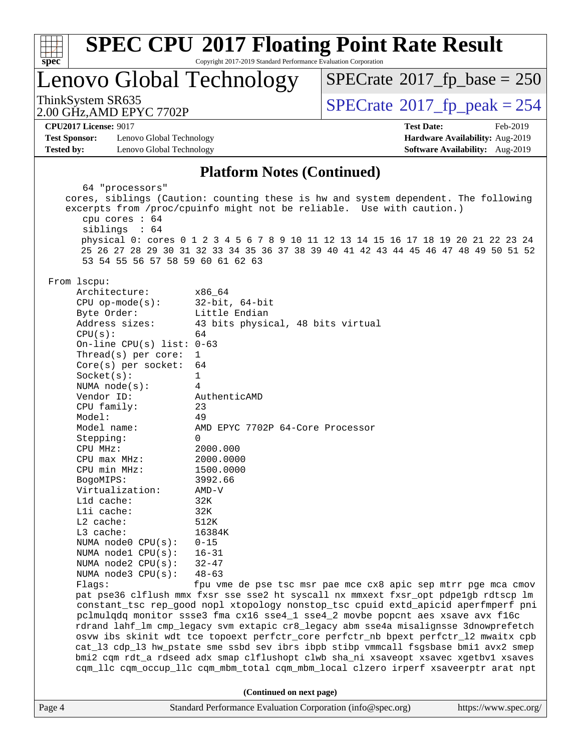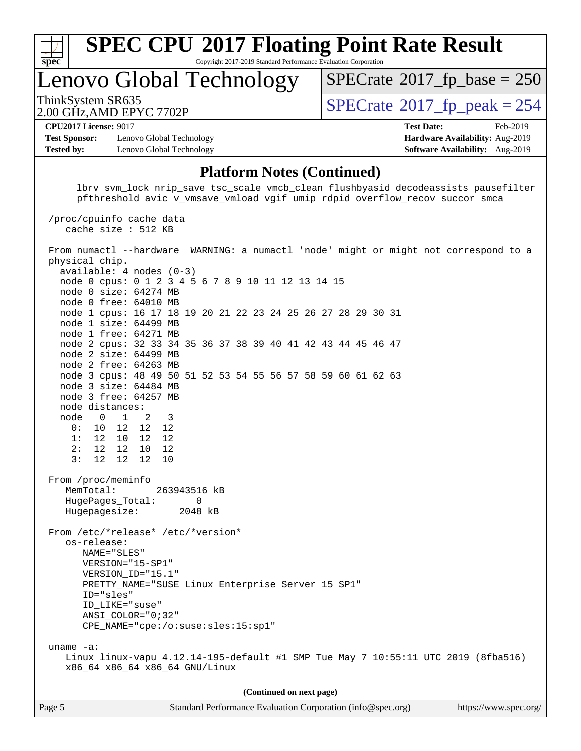

Copyright 2017-2019 Standard Performance Evaluation Corporation

Lenovo Global Technology

ThinkSystem SR635<br>2.00 GHz AMD EPYC 7702P<br> $\begin{array}{c} | \text{SPECrate} \textcirc 2017\_fp\_peak = 254 \end{array}$  $\begin{array}{c} | \text{SPECrate} \textcirc 2017\_fp\_peak = 254 \end{array}$  $\begin{array}{c} | \text{SPECrate} \textcirc 2017\_fp\_peak = 254 \end{array}$  $SPECTate$ <sup>®</sup>[2017\\_fp\\_base =](http://www.spec.org/auto/cpu2017/Docs/result-fields.html#SPECrate2017fpbase) 250

2.00 GHz,AMD EPYC 7702P **[CPU2017 License:](http://www.spec.org/auto/cpu2017/Docs/result-fields.html#CPU2017License)** 9017 **[Test Date:](http://www.spec.org/auto/cpu2017/Docs/result-fields.html#TestDate)** Feb-2019

**[Test Sponsor:](http://www.spec.org/auto/cpu2017/Docs/result-fields.html#TestSponsor)** Lenovo Global Technology **[Hardware Availability:](http://www.spec.org/auto/cpu2017/Docs/result-fields.html#HardwareAvailability)** Aug-2019 **[Tested by:](http://www.spec.org/auto/cpu2017/Docs/result-fields.html#Testedby)** Lenovo Global Technology **[Software Availability:](http://www.spec.org/auto/cpu2017/Docs/result-fields.html#SoftwareAvailability)** Aug-2019

# **[Platform Notes \(Continued\)](http://www.spec.org/auto/cpu2017/Docs/result-fields.html#PlatformNotes)**

 lbrv svm\_lock nrip\_save tsc\_scale vmcb\_clean flushbyasid decodeassists pausefilter pfthreshold avic v\_vmsave\_vmload vgif umip rdpid overflow\_recov succor smca /proc/cpuinfo cache data cache size : 512 KB From numactl --hardware WARNING: a numactl 'node' might or might not correspond to a physical chip. available: 4 nodes (0-3) node 0 cpus: 0 1 2 3 4 5 6 7 8 9 10 11 12 13 14 15 node 0 size: 64274 MB node 0 free: 64010 MB node 1 cpus: 16 17 18 19 20 21 22 23 24 25 26 27 28 29 30 31 node 1 size: 64499 MB node 1 free: 64271 MB node 2 cpus: 32 33 34 35 36 37 38 39 40 41 42 43 44 45 46 47 node 2 size: 64499 MB node 2 free: 64263 MB node 3 cpus: 48 49 50 51 52 53 54 55 56 57 58 59 60 61 62 63 node 3 size: 64484 MB node 3 free: 64257 MB node distances: node 0 1 2 3 0: 10 12 12 12 1: 12 10 12 12 2: 12 12 10 12 3: 12 12 12 10 From /proc/meminfo MemTotal: 263943516 kB HugePages\_Total: 0<br>Hugepagesize: 2048 kB Hugepagesize: From /etc/\*release\* /etc/\*version\* os-release: NAME="SLES" VERSION="15-SP1" VERSION\_ID="15.1" PRETTY\_NAME="SUSE Linux Enterprise Server 15 SP1" ID="sles" ID\_LIKE="suse" ANSI\_COLOR="0;32" CPE\_NAME="cpe:/o:suse:sles:15:sp1" uname -a: Linux linux-vapu 4.12.14-195-default #1 SMP Tue May 7 10:55:11 UTC 2019 (8fba516) x86\_64 x86\_64 x86\_64 GNU/Linux **(Continued on next page)**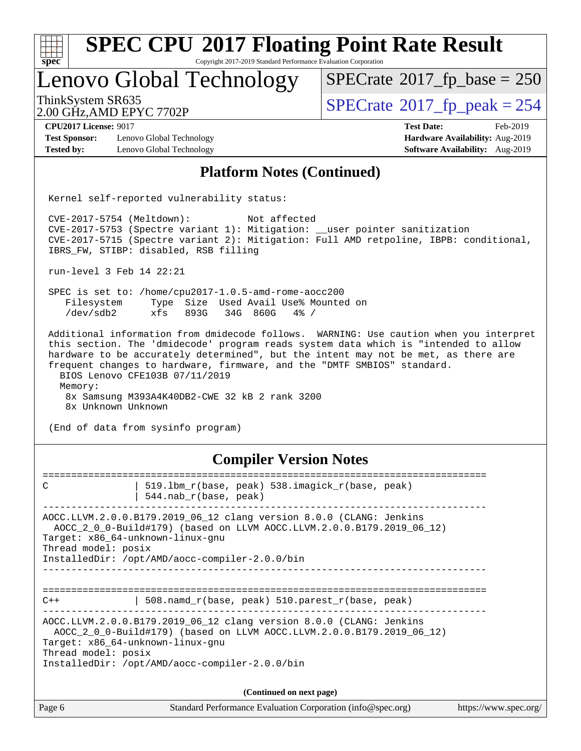| $spec^*$                                                | <b>SPEC CPU®2017 Floating Point Rate Result</b><br>Copyright 2017-2019 Standard Performance Evaluation Corporation                                                                                                                                                                                                                                                                                                                                                      |                                       |                       |
|---------------------------------------------------------|-------------------------------------------------------------------------------------------------------------------------------------------------------------------------------------------------------------------------------------------------------------------------------------------------------------------------------------------------------------------------------------------------------------------------------------------------------------------------|---------------------------------------|-----------------------|
|                                                         | Lenovo Global Technology                                                                                                                                                                                                                                                                                                                                                                                                                                                | $SPECrate^{\circ}2017$ fp base = 250  |                       |
| ThinkSystem SR635<br>2.00 GHz, AMD EPYC 7702P           |                                                                                                                                                                                                                                                                                                                                                                                                                                                                         | $SPECrate^{\circ}2017$ _fp_peak = 254 |                       |
| <b>CPU2017 License: 9017</b>                            |                                                                                                                                                                                                                                                                                                                                                                                                                                                                         | <b>Test Date:</b>                     | Feb-2019              |
| <b>Test Sponsor:</b>                                    | Lenovo Global Technology                                                                                                                                                                                                                                                                                                                                                                                                                                                | Hardware Availability: Aug-2019       |                       |
| <b>Tested by:</b>                                       | Lenovo Global Technology                                                                                                                                                                                                                                                                                                                                                                                                                                                | Software Availability: Aug-2019       |                       |
|                                                         | <b>Platform Notes (Continued)</b>                                                                                                                                                                                                                                                                                                                                                                                                                                       |                                       |                       |
|                                                         | Kernel self-reported vulnerability status:                                                                                                                                                                                                                                                                                                                                                                                                                              |                                       |                       |
| $CVE-2017-5754$ (Meltdown):                             | Not affected<br>CVE-2017-5753 (Spectre variant 1): Mitigation: __user pointer sanitization<br>CVE-2017-5715 (Spectre variant 2): Mitigation: Full AMD retpoline, IBPB: conditional,<br>IBRS_FW, STIBP: disabled, RSB filling                                                                                                                                                                                                                                            |                                       |                       |
| run-level 3 Feb 14 22:21                                |                                                                                                                                                                                                                                                                                                                                                                                                                                                                         |                                       |                       |
| /dev/sdb2                                               | SPEC is set to: /home/cpu2017-1.0.5-amd-rome-aocc200<br>Filesystem Type Size Used Avail Use% Mounted on<br>xfs<br>893G<br>34G 860G<br>$4\%$ /                                                                                                                                                                                                                                                                                                                           |                                       |                       |
| Memory:<br>8x Unknown Unknown                           | Additional information from dmidecode follows. WARNING: Use caution when you interpret<br>this section. The 'dmidecode' program reads system data which is "intended to allow<br>hardware to be accurately determined", but the intent may not be met, as there are<br>frequent changes to hardware, firmware, and the "DMTF SMBIOS" standard.<br>BIOS Lenovo CFE103B 07/11/2019<br>8x Samsung M393A4K40DB2-CWE 32 kB 2 rank 3200<br>(End of data from sysinfo program) |                                       |                       |
|                                                         | <b>Compiler Version Notes</b>                                                                                                                                                                                                                                                                                                                                                                                                                                           |                                       |                       |
| С                                                       | 519.1bm_r(base, peak) 538.imagick_r(base, peak)<br>$544.nab_r(base, peak)$                                                                                                                                                                                                                                                                                                                                                                                              |                                       |                       |
| Target: x86_64-unknown-linux-gnu<br>Thread model: posix | AOCC.LLVM.2.0.0.B179.2019_06_12 clang version 8.0.0 (CLANG: Jenkins<br>AOCC_2_0_0-Build#179) (based on LLVM AOCC.LLVM.2.0.0.B179.2019_06_12)<br>InstalledDir: /opt/AMD/aocc-compiler-2.0.0/bin                                                                                                                                                                                                                                                                          |                                       |                       |
|                                                         |                                                                                                                                                                                                                                                                                                                                                                                                                                                                         |                                       |                       |
| $C++$                                                   | 508.namd_r(base, peak) 510.parest_r(base, peak)                                                                                                                                                                                                                                                                                                                                                                                                                         |                                       |                       |
| Target: x86_64-unknown-linux-gnu<br>Thread model: posix | AOCC.LLVM.2.0.0.B179.2019_06_12 clang version 8.0.0 (CLANG: Jenkins<br>AOCC_2_0_0-Build#179) (based on LLVM AOCC.LLVM.2.0.0.B179.2019_06_12)<br>InstalledDir: /opt/AMD/aocc-compiler-2.0.0/bin                                                                                                                                                                                                                                                                          |                                       |                       |
|                                                         | (Continued on next page)                                                                                                                                                                                                                                                                                                                                                                                                                                                |                                       |                       |
|                                                         |                                                                                                                                                                                                                                                                                                                                                                                                                                                                         |                                       |                       |
| Page 6                                                  | Standard Performance Evaluation Corporation (info@spec.org)                                                                                                                                                                                                                                                                                                                                                                                                             |                                       | https://www.spec.org/ |
|                                                         |                                                                                                                                                                                                                                                                                                                                                                                                                                                                         |                                       |                       |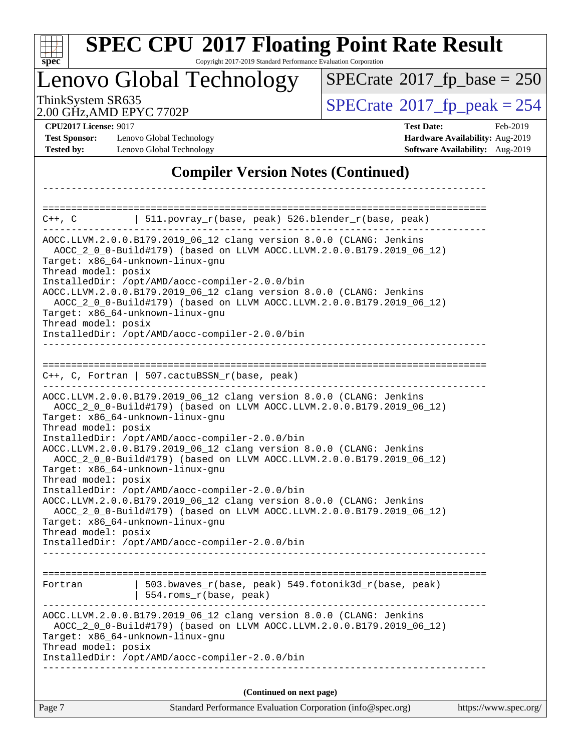|                                                                           | Lenovo Global Technology                                                                                                                                                                                                                                                                                                 | $SPECrate^{\circ}2017$ fp base = 250       |                                                                                |
|---------------------------------------------------------------------------|--------------------------------------------------------------------------------------------------------------------------------------------------------------------------------------------------------------------------------------------------------------------------------------------------------------------------|--------------------------------------------|--------------------------------------------------------------------------------|
| ThinkSystem SR635                                                         | 2.00 GHz, AMD EPYC 7702P                                                                                                                                                                                                                                                                                                 | $SPECTate$ <sup>®</sup> 2017_fp_peak = 254 |                                                                                |
| <b>CPU2017 License: 9017</b><br><b>Test Sponsor:</b><br><b>Tested by:</b> | Lenovo Global Technology<br>Lenovo Global Technology                                                                                                                                                                                                                                                                     | <b>Test Date:</b>                          | Feb-2019<br>Hardware Availability: Aug-2019<br>Software Availability: Aug-2019 |
|                                                                           | <b>Compiler Version Notes (Continued)</b>                                                                                                                                                                                                                                                                                |                                            |                                                                                |
|                                                                           |                                                                                                                                                                                                                                                                                                                          |                                            |                                                                                |
| $C++$ , $C$                                                               | 511.povray_r(base, peak) 526.blender_r(base, peak)                                                                                                                                                                                                                                                                       |                                            |                                                                                |
| Thread model: posix<br>Thread model: posix                                | Target: x86_64-unknown-linux-gnu<br>InstalledDir: /opt/AMD/aocc-compiler-2.0.0/bin<br>AOCC.LLVM.2.0.0.B179.2019_06_12 clang version 8.0.0 (CLANG: Jenkins<br>AOCC_2_0_0-Build#179) (based on LLVM AOCC.LLVM.2.0.0.B179.2019_06_12)<br>Target: x86_64-unknown-linux-gnu<br>InstalledDir: /opt/AMD/aocc-compiler-2.0.0/bin |                                            |                                                                                |
| Thread model: posix                                                       | $C++$ , C, Fortran   507.cactuBSSN_r(base, peak)<br>AOCC.LLVM.2.0.0.B179.2019_06_12 clang version 8.0.0 (CLANG: Jenkins<br>AOCC_2_0_0-Build#179) (based on LLVM AOCC.LLVM.2.0.0.B179.2019_06_12)<br>Target: x86_64-unknown-linux-gnu<br>InstalledDir: /opt/AMD/aocc-compiler-2.0.0/bin                                   |                                            |                                                                                |
| Thread model: posix                                                       | AOCC.LLVM.2.0.0.B179.2019_06_12 clang version 8.0.0 (CLANG: Jenkins<br>AOCC_2_0_0-Build#179) (based on LLVM AOCC.LLVM.2.0.0.B179.2019_06_12)<br>Target: x86_64-unknown-linux-gnu<br>InstalledDir: /opt/AMD/aocc-compiler-2.0.0/bin                                                                                       |                                            |                                                                                |
| Thread model: posix                                                       | AOCC.LLVM.2.0.0.B179.2019_06_12 clang version 8.0.0 (CLANG: Jenkins<br>AOCC_2_0_0-Build#179) (based on LLVM AOCC.LLVM.2.0.0.B179.2019_06_12)<br>Target: x86_64-unknown-linux-gnu<br>InstalledDir: /opt/AMD/aocc-compiler-2.0.0/bin                                                                                       |                                            |                                                                                |
| Fortran                                                                   | 503.bwaves_r(base, peak) 549.fotonik3d_r(base, peak)<br>554.roms_r(base, peak)                                                                                                                                                                                                                                           |                                            |                                                                                |
| Thread model: posix                                                       | AOCC.LLVM.2.0.0.B179.2019_06_12 clang version 8.0.0 (CLANG: Jenkins<br>AOCC_2_0_0-Build#179) (based on LLVM AOCC.LLVM.2.0.0.B179.2019_06_12)<br>Target: x86_64-unknown-linux-gnu<br>InstalledDir: /opt/AMD/aocc-compiler-2.0.0/bin                                                                                       | ----------------------------------         |                                                                                |
|                                                                           | (Continued on next page)                                                                                                                                                                                                                                                                                                 |                                            |                                                                                |
| Page 7                                                                    | Standard Performance Evaluation Corporation (info@spec.org)                                                                                                                                                                                                                                                              |                                            | https://www.spec.org/                                                          |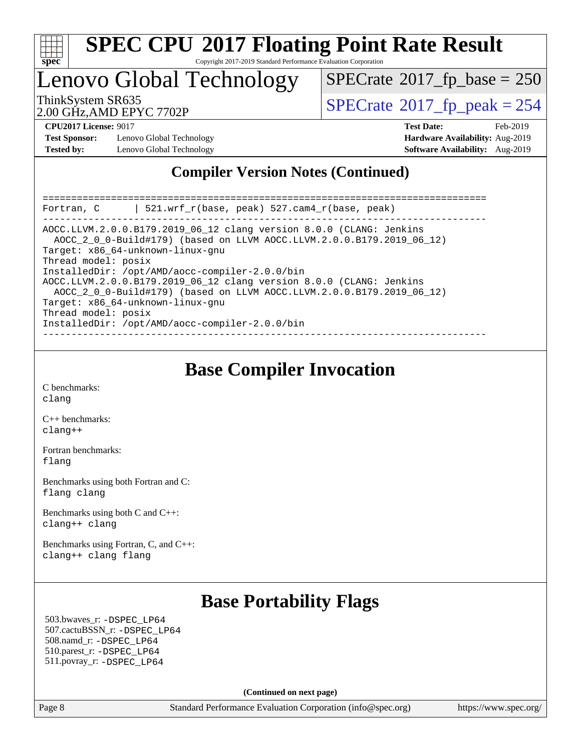

#### **[SPEC CPU](http://www.spec.org/auto/cpu2017/Docs/result-fields.html#SPECCPU2017FloatingPointRateResult)[2017 Floating Point Rate Result](http://www.spec.org/auto/cpu2017/Docs/result-fields.html#SPECCPU2017FloatingPointRateResult)** Copyright 2017-2019 Standard Performance Evaluation Corporation

Lenovo Global Technology

ThinkSystem SR635<br>2.00 GHz AMD EPYC 7702P<br> $\begin{array}{c} | \text{SPECrate} \textcirc 2017\_fp\_peak = 254 \end{array}$  $\begin{array}{c} | \text{SPECrate} \textcirc 2017\_fp\_peak = 254 \end{array}$  $\begin{array}{c} | \text{SPECrate} \textcirc 2017\_fp\_peak = 254 \end{array}$  $SPECrate$ <sup>®</sup>[2017\\_fp\\_base =](http://www.spec.org/auto/cpu2017/Docs/result-fields.html#SPECrate2017fpbase) 250

2.00 GHz,AMD EPYC 7702P

**[Test Sponsor:](http://www.spec.org/auto/cpu2017/Docs/result-fields.html#TestSponsor)** Lenovo Global Technology **[Hardware Availability:](http://www.spec.org/auto/cpu2017/Docs/result-fields.html#HardwareAvailability)** Aug-2019 **[Tested by:](http://www.spec.org/auto/cpu2017/Docs/result-fields.html#Testedby)** Lenovo Global Technology **[Software Availability:](http://www.spec.org/auto/cpu2017/Docs/result-fields.html#SoftwareAvailability)** Aug-2019

**[CPU2017 License:](http://www.spec.org/auto/cpu2017/Docs/result-fields.html#CPU2017License)** 9017 **[Test Date:](http://www.spec.org/auto/cpu2017/Docs/result-fields.html#TestDate)** Feb-2019

#### **[Compiler Version Notes \(Continued\)](http://www.spec.org/auto/cpu2017/Docs/result-fields.html#CompilerVersionNotes)**

| 521.wrf $r(base, peak)$ 527.cam4 $r(base, peak)$<br>Fortran, C                                                                               |
|----------------------------------------------------------------------------------------------------------------------------------------------|
| AOCC.LLVM.2.0.0.B179.2019 06 12 clang version 8.0.0 (CLANG: Jenkins<br>AOCC 2 0 0-Build#179) (based on LLVM AOCC.LLVM.2.0.0.B179.2019 06 12) |
| Target: x86 64-unknown-linux-gnu                                                                                                             |
| Thread model: posix                                                                                                                          |
| InstalledDir: /opt/AMD/aocc-compiler-2.0.0/bin                                                                                               |
| AOCC.LLVM.2.0.0.B179.2019_06_12 clang version 8.0.0 (CLANG: Jenkins<br>AOCC 2 0 0-Build#179) (based on LLVM AOCC.LLVM.2.0.0.B179.2019 06 12) |
| Target: x86 64-unknown-linux-gnu                                                                                                             |
| Thread model: posix                                                                                                                          |
| InstalledDir: /opt/AMD/aocc-compiler-2.0.0/bin                                                                                               |
|                                                                                                                                              |

#### **[Base Compiler Invocation](http://www.spec.org/auto/cpu2017/Docs/result-fields.html#BaseCompilerInvocation)**

[C benchmarks](http://www.spec.org/auto/cpu2017/Docs/result-fields.html#Cbenchmarks): [clang](http://www.spec.org/cpu2017/results/res2019q3/cpu2017-20190903-17664.flags.html#user_CCbase_clang-c)

[C++ benchmarks:](http://www.spec.org/auto/cpu2017/Docs/result-fields.html#CXXbenchmarks) [clang++](http://www.spec.org/cpu2017/results/res2019q3/cpu2017-20190903-17664.flags.html#user_CXXbase_clang-cpp)

[Fortran benchmarks](http://www.spec.org/auto/cpu2017/Docs/result-fields.html#Fortranbenchmarks): [flang](http://www.spec.org/cpu2017/results/res2019q3/cpu2017-20190903-17664.flags.html#user_FCbase_flang)

[Benchmarks using both Fortran and C](http://www.spec.org/auto/cpu2017/Docs/result-fields.html#BenchmarksusingbothFortranandC): [flang](http://www.spec.org/cpu2017/results/res2019q3/cpu2017-20190903-17664.flags.html#user_CC_FCbase_flang) [clang](http://www.spec.org/cpu2017/results/res2019q3/cpu2017-20190903-17664.flags.html#user_CC_FCbase_clang-c)

[Benchmarks using both C and C++](http://www.spec.org/auto/cpu2017/Docs/result-fields.html#BenchmarksusingbothCandCXX): [clang++](http://www.spec.org/cpu2017/results/res2019q3/cpu2017-20190903-17664.flags.html#user_CC_CXXbase_clang-cpp) [clang](http://www.spec.org/cpu2017/results/res2019q3/cpu2017-20190903-17664.flags.html#user_CC_CXXbase_clang-c)

[Benchmarks using Fortran, C, and C++:](http://www.spec.org/auto/cpu2017/Docs/result-fields.html#BenchmarksusingFortranCandCXX) [clang++](http://www.spec.org/cpu2017/results/res2019q3/cpu2017-20190903-17664.flags.html#user_CC_CXX_FCbase_clang-cpp) [clang](http://www.spec.org/cpu2017/results/res2019q3/cpu2017-20190903-17664.flags.html#user_CC_CXX_FCbase_clang-c) [flang](http://www.spec.org/cpu2017/results/res2019q3/cpu2017-20190903-17664.flags.html#user_CC_CXX_FCbase_flang)

## **[Base Portability Flags](http://www.spec.org/auto/cpu2017/Docs/result-fields.html#BasePortabilityFlags)**

 503.bwaves\_r: [-DSPEC\\_LP64](http://www.spec.org/cpu2017/results/res2019q3/cpu2017-20190903-17664.flags.html#suite_baseEXTRA_PORTABILITY503_bwaves_r_DSPEC_LP64) 507.cactuBSSN\_r: [-DSPEC\\_LP64](http://www.spec.org/cpu2017/results/res2019q3/cpu2017-20190903-17664.flags.html#suite_baseEXTRA_PORTABILITY507_cactuBSSN_r_DSPEC_LP64) 508.namd\_r: [-DSPEC\\_LP64](http://www.spec.org/cpu2017/results/res2019q3/cpu2017-20190903-17664.flags.html#suite_baseEXTRA_PORTABILITY508_namd_r_DSPEC_LP64) 510.parest\_r: [-DSPEC\\_LP64](http://www.spec.org/cpu2017/results/res2019q3/cpu2017-20190903-17664.flags.html#suite_baseEXTRA_PORTABILITY510_parest_r_DSPEC_LP64) 511.povray\_r: [-DSPEC\\_LP64](http://www.spec.org/cpu2017/results/res2019q3/cpu2017-20190903-17664.flags.html#suite_baseEXTRA_PORTABILITY511_povray_r_DSPEC_LP64)

**(Continued on next page)**

Page 8 Standard Performance Evaluation Corporation [\(info@spec.org\)](mailto:info@spec.org) <https://www.spec.org/>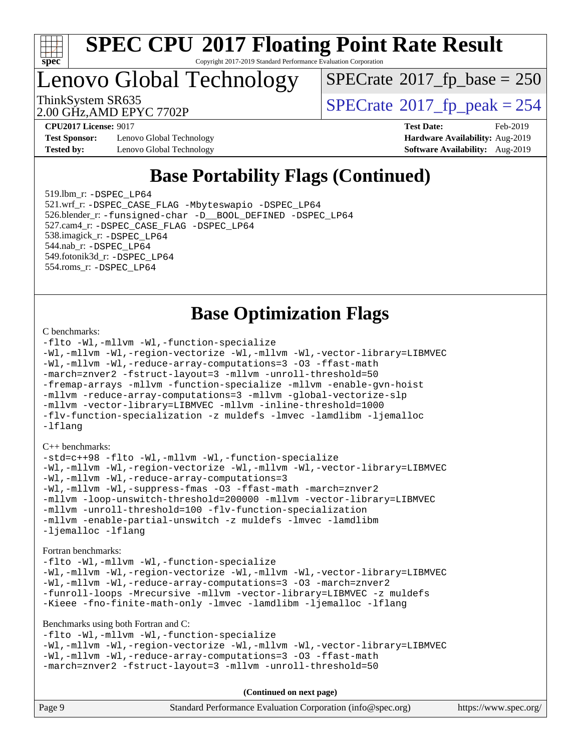

Copyright 2017-2019 Standard Performance Evaluation Corporation

# Lenovo Global Technology

 $SPECrate$ <sup>®</sup>[2017\\_fp\\_base =](http://www.spec.org/auto/cpu2017/Docs/result-fields.html#SPECrate2017fpbase) 250

2.00 GHz,AMD EPYC 7702P

ThinkSystem SR635<br>2.00 GHz AMD EPYC 7702P<br> $\begin{array}{c} | \text{SPECrate} \textcirc 2017\_fp\_peak = 254 \end{array}$  $\begin{array}{c} | \text{SPECrate} \textcirc 2017\_fp\_peak = 254 \end{array}$  $\begin{array}{c} | \text{SPECrate} \textcirc 2017\_fp\_peak = 254 \end{array}$ 

**[Test Sponsor:](http://www.spec.org/auto/cpu2017/Docs/result-fields.html#TestSponsor)** Lenovo Global Technology **[Hardware Availability:](http://www.spec.org/auto/cpu2017/Docs/result-fields.html#HardwareAvailability)** Aug-2019 **[Tested by:](http://www.spec.org/auto/cpu2017/Docs/result-fields.html#Testedby)** Lenovo Global Technology **[Software Availability:](http://www.spec.org/auto/cpu2017/Docs/result-fields.html#SoftwareAvailability)** Aug-2019

**[CPU2017 License:](http://www.spec.org/auto/cpu2017/Docs/result-fields.html#CPU2017License)** 9017 **[Test Date:](http://www.spec.org/auto/cpu2017/Docs/result-fields.html#TestDate)** Feb-2019

### **[Base Portability Flags \(Continued\)](http://www.spec.org/auto/cpu2017/Docs/result-fields.html#BasePortabilityFlags)**

 519.lbm\_r: [-DSPEC\\_LP64](http://www.spec.org/cpu2017/results/res2019q3/cpu2017-20190903-17664.flags.html#suite_baseEXTRA_PORTABILITY519_lbm_r_DSPEC_LP64) 521.wrf\_r: [-DSPEC\\_CASE\\_FLAG](http://www.spec.org/cpu2017/results/res2019q3/cpu2017-20190903-17664.flags.html#b521.wrf_r_baseCPORTABILITY_DSPEC_CASE_FLAG) [-Mbyteswapio](http://www.spec.org/cpu2017/results/res2019q3/cpu2017-20190903-17664.flags.html#user_baseFPORTABILITY521_wrf_r_F-mbyteswapio_543c39ce38db59bcbc3b888917ef58c313007ae1c27520b689e012995ae261114051d1d5efcb4182d175ce22a6a15532d3a9999882dd2c360e6d853f41da6883) [-DSPEC\\_LP64](http://www.spec.org/cpu2017/results/res2019q3/cpu2017-20190903-17664.flags.html#suite_baseEXTRA_PORTABILITY521_wrf_r_DSPEC_LP64) 526.blender\_r: [-funsigned-char](http://www.spec.org/cpu2017/results/res2019q3/cpu2017-20190903-17664.flags.html#user_baseCPORTABILITY526_blender_r_aocc-unsigned-char) [-D\\_\\_BOOL\\_DEFINED](http://www.spec.org/cpu2017/results/res2019q3/cpu2017-20190903-17664.flags.html#b526.blender_r_baseCXXPORTABILITY_D__BOOL_DEFINED) [-DSPEC\\_LP64](http://www.spec.org/cpu2017/results/res2019q3/cpu2017-20190903-17664.flags.html#suite_baseEXTRA_PORTABILITY526_blender_r_DSPEC_LP64) 527.cam4\_r: [-DSPEC\\_CASE\\_FLAG](http://www.spec.org/cpu2017/results/res2019q3/cpu2017-20190903-17664.flags.html#b527.cam4_r_basePORTABILITY_DSPEC_CASE_FLAG) [-DSPEC\\_LP64](http://www.spec.org/cpu2017/results/res2019q3/cpu2017-20190903-17664.flags.html#suite_baseEXTRA_PORTABILITY527_cam4_r_DSPEC_LP64) 538.imagick\_r: [-DSPEC\\_LP64](http://www.spec.org/cpu2017/results/res2019q3/cpu2017-20190903-17664.flags.html#suite_baseEXTRA_PORTABILITY538_imagick_r_DSPEC_LP64) 544.nab\_r: [-DSPEC\\_LP64](http://www.spec.org/cpu2017/results/res2019q3/cpu2017-20190903-17664.flags.html#suite_baseEXTRA_PORTABILITY544_nab_r_DSPEC_LP64) 549.fotonik3d\_r: [-DSPEC\\_LP64](http://www.spec.org/cpu2017/results/res2019q3/cpu2017-20190903-17664.flags.html#suite_baseEXTRA_PORTABILITY549_fotonik3d_r_DSPEC_LP64) 554.roms\_r: [-DSPEC\\_LP64](http://www.spec.org/cpu2017/results/res2019q3/cpu2017-20190903-17664.flags.html#suite_baseEXTRA_PORTABILITY554_roms_r_DSPEC_LP64)

#### **[Base Optimization Flags](http://www.spec.org/auto/cpu2017/Docs/result-fields.html#BaseOptimizationFlags)**

#### [C benchmarks](http://www.spec.org/auto/cpu2017/Docs/result-fields.html#Cbenchmarks):

[-flto](http://www.spec.org/cpu2017/results/res2019q3/cpu2017-20190903-17664.flags.html#user_CCbase_aocc-flto) [-Wl,-mllvm -Wl,-function-specialize](http://www.spec.org/cpu2017/results/res2019q3/cpu2017-20190903-17664.flags.html#user_CCbase_F-function-specialize_7e7e661e57922243ee67c9a1251cb8910e607325179a0ce7f2884e09a6f5d4a5ef0ae4f37e8a2a11c95fc48e931f06dc2b6016f14b511fcb441e048bef1b065a) [-Wl,-mllvm -Wl,-region-vectorize](http://www.spec.org/cpu2017/results/res2019q3/cpu2017-20190903-17664.flags.html#user_CCbase_F-region-vectorize_fb6c6b5aa293c88efc6c7c2b52b20755e943585b1fe8658c35afef78727fff56e1a56891413c30e36b8e2a6f9a71126986319243e80eb6110b78b288f533c52b) [-Wl,-mllvm -Wl,-vector-library=LIBMVEC](http://www.spec.org/cpu2017/results/res2019q3/cpu2017-20190903-17664.flags.html#user_CCbase_F-use-vector-library_0a14b27fae317f283640384a31f7bfcc2bd4c1d0b5cfc618a3a430800c9b20217b00f61303eff223a3251b4f06ffbc9739dc5296db9d1fbb9ad24a3939d86d66) [-Wl,-mllvm -Wl,-reduce-array-computations=3](http://www.spec.org/cpu2017/results/res2019q3/cpu2017-20190903-17664.flags.html#user_CCbase_F-reduce-array-computations_b882aefe7a5dda4e33149f6299762b9a720dace3e498e13756f4c04e5a19edf5315c1f3993de2e61ec41e8c206231f84e05da7040e1bb5d69ba27d10a12507e4) [-O3](http://www.spec.org/cpu2017/results/res2019q3/cpu2017-20190903-17664.flags.html#user_CCbase_F-O3) [-ffast-math](http://www.spec.org/cpu2017/results/res2019q3/cpu2017-20190903-17664.flags.html#user_CCbase_aocc-ffast-math) [-march=znver2](http://www.spec.org/cpu2017/results/res2019q3/cpu2017-20190903-17664.flags.html#user_CCbase_aocc-march_3e2e19cff2eeef60c5d90b059483627c9ea47eca6d66670dbd53f9185f6439e27eb5e104cf773e9e8ab18c8842ce63e461a3e948d0214bd567ef3ade411bf467) [-fstruct-layout=3](http://www.spec.org/cpu2017/results/res2019q3/cpu2017-20190903-17664.flags.html#user_CCbase_F-struct-layout) [-mllvm -unroll-threshold=50](http://www.spec.org/cpu2017/results/res2019q3/cpu2017-20190903-17664.flags.html#user_CCbase_F-unroll-threshold_458874500b2c105d6d5cb4d7a611c40e2b16e9e3d26b355fea72d644c3673b4de4b3932662f0ed3dbec75c491a13da2d2ca81180bd779dc531083ef1e1e549dc) [-fremap-arrays](http://www.spec.org/cpu2017/results/res2019q3/cpu2017-20190903-17664.flags.html#user_CCbase_F-fremap-arrays) [-mllvm -function-specialize](http://www.spec.org/cpu2017/results/res2019q3/cpu2017-20190903-17664.flags.html#user_CCbase_F-function-specialize_233b3bdba86027f1b094368157e481c5bc59f40286dc25bfadc1858dcd5745c24fd30d5f188710db7fea399bcc9f44a80b3ce3aacc70a8870250c3ae5e1f35b8) [-mllvm -enable-gvn-hoist](http://www.spec.org/cpu2017/results/res2019q3/cpu2017-20190903-17664.flags.html#user_CCbase_F-enable-gvn-hoist_e5856354646dd6ca1333a0ad99b817e4cf8932b91b82809fd8fd47ceff7b22a89eba5c98fd3e3fa5200368fd772cec3dd56abc3c8f7b655a71b9f9848dddedd5) [-mllvm -reduce-array-computations=3](http://www.spec.org/cpu2017/results/res2019q3/cpu2017-20190903-17664.flags.html#user_CCbase_F-reduce-array-computations_aceadb8604558b566e0e3a0d7a3c1533923dd1fa0889614e16288028922629a28d5695c24d3b3be4306b1e311c54317dfffe3a2e57fbcaabc737a1798de39145) [-mllvm -global-vectorize-slp](http://www.spec.org/cpu2017/results/res2019q3/cpu2017-20190903-17664.flags.html#user_CCbase_F-global-vectorize-slp_a3935e8627af4ced727033b1ffd4db27f4d541a363d28d82bf4c2925fb3a0fd4115d6e42d13a2829f9e024d6608eb67a85cb49770f2da5c5ac8dbc737afad603) [-mllvm -vector-library=LIBMVEC](http://www.spec.org/cpu2017/results/res2019q3/cpu2017-20190903-17664.flags.html#user_CCbase_F-use-vector-library_e584e20b4f7ec96aa109254b65d8e01d864f3d68580371b9d93ed7c338191d4cfce20c3c864632264effc6bbe4c7c38153d02096a342ee92501c4a53204a7871) [-mllvm -inline-threshold=1000](http://www.spec.org/cpu2017/results/res2019q3/cpu2017-20190903-17664.flags.html#user_CCbase_dragonegg-llvm-inline-threshold_b7832241b0a6397e4ecdbaf0eb7defdc10f885c2a282fa3240fdc99844d543fda39cf8a4a9dccf68cf19b5438ac3b455264f478df15da0f4988afa40d8243bab) [-flv-function-specialization](http://www.spec.org/cpu2017/results/res2019q3/cpu2017-20190903-17664.flags.html#user_CCbase_F-flv-function-specialization) [-z muldefs](http://www.spec.org/cpu2017/results/res2019q3/cpu2017-20190903-17664.flags.html#user_CCbase_aocc-muldefs) [-lmvec](http://www.spec.org/cpu2017/results/res2019q3/cpu2017-20190903-17664.flags.html#user_CCbase_F-lmvec) [-lamdlibm](http://www.spec.org/cpu2017/results/res2019q3/cpu2017-20190903-17664.flags.html#user_CCbase_F-lamdlibm) [-ljemalloc](http://www.spec.org/cpu2017/results/res2019q3/cpu2017-20190903-17664.flags.html#user_CCbase_jemalloc-lib) [-lflang](http://www.spec.org/cpu2017/results/res2019q3/cpu2017-20190903-17664.flags.html#user_CCbase_F-lflang)

#### [C++ benchmarks:](http://www.spec.org/auto/cpu2017/Docs/result-fields.html#CXXbenchmarks)

[-std=c++98](http://www.spec.org/cpu2017/results/res2019q3/cpu2017-20190903-17664.flags.html#user_CXXbase_std-cpp) [-flto](http://www.spec.org/cpu2017/results/res2019q3/cpu2017-20190903-17664.flags.html#user_CXXbase_aocc-flto) [-Wl,-mllvm -Wl,-function-specialize](http://www.spec.org/cpu2017/results/res2019q3/cpu2017-20190903-17664.flags.html#user_CXXbase_F-function-specialize_7e7e661e57922243ee67c9a1251cb8910e607325179a0ce7f2884e09a6f5d4a5ef0ae4f37e8a2a11c95fc48e931f06dc2b6016f14b511fcb441e048bef1b065a) [-Wl,-mllvm -Wl,-region-vectorize](http://www.spec.org/cpu2017/results/res2019q3/cpu2017-20190903-17664.flags.html#user_CXXbase_F-region-vectorize_fb6c6b5aa293c88efc6c7c2b52b20755e943585b1fe8658c35afef78727fff56e1a56891413c30e36b8e2a6f9a71126986319243e80eb6110b78b288f533c52b) [-Wl,-mllvm -Wl,-vector-library=LIBMVEC](http://www.spec.org/cpu2017/results/res2019q3/cpu2017-20190903-17664.flags.html#user_CXXbase_F-use-vector-library_0a14b27fae317f283640384a31f7bfcc2bd4c1d0b5cfc618a3a430800c9b20217b00f61303eff223a3251b4f06ffbc9739dc5296db9d1fbb9ad24a3939d86d66) [-Wl,-mllvm -Wl,-reduce-array-computations=3](http://www.spec.org/cpu2017/results/res2019q3/cpu2017-20190903-17664.flags.html#user_CXXbase_F-reduce-array-computations_b882aefe7a5dda4e33149f6299762b9a720dace3e498e13756f4c04e5a19edf5315c1f3993de2e61ec41e8c206231f84e05da7040e1bb5d69ba27d10a12507e4) [-Wl,-mllvm -Wl,-suppress-fmas](http://www.spec.org/cpu2017/results/res2019q3/cpu2017-20190903-17664.flags.html#user_CXXbase_F-suppress-fmas_f00f00630e4a059e8af9c161e9bbf420bcf19890a7f99d5933525e66aa4b0bb3ab2339d2b12d97d3a5f5d271e839fe9c109938e91fe06230fb53651590cfa1e8) [-O3](http://www.spec.org/cpu2017/results/res2019q3/cpu2017-20190903-17664.flags.html#user_CXXbase_F-O3) [-ffast-math](http://www.spec.org/cpu2017/results/res2019q3/cpu2017-20190903-17664.flags.html#user_CXXbase_aocc-ffast-math) [-march=znver2](http://www.spec.org/cpu2017/results/res2019q3/cpu2017-20190903-17664.flags.html#user_CXXbase_aocc-march_3e2e19cff2eeef60c5d90b059483627c9ea47eca6d66670dbd53f9185f6439e27eb5e104cf773e9e8ab18c8842ce63e461a3e948d0214bd567ef3ade411bf467) [-mllvm -loop-unswitch-threshold=200000](http://www.spec.org/cpu2017/results/res2019q3/cpu2017-20190903-17664.flags.html#user_CXXbase_F-loop-unswitch-threshold_f9a82ae3270e55b5fbf79d0d96ee93606b73edbbe527d20b18b7bff1a3a146ad50cfc7454c5297978340ae9213029016a7d16221274d672d3f7f42ed25274e1d) [-mllvm -vector-library=LIBMVEC](http://www.spec.org/cpu2017/results/res2019q3/cpu2017-20190903-17664.flags.html#user_CXXbase_F-use-vector-library_e584e20b4f7ec96aa109254b65d8e01d864f3d68580371b9d93ed7c338191d4cfce20c3c864632264effc6bbe4c7c38153d02096a342ee92501c4a53204a7871) [-mllvm -unroll-threshold=100](http://www.spec.org/cpu2017/results/res2019q3/cpu2017-20190903-17664.flags.html#user_CXXbase_F-unroll-threshold_2755d0c78138845d361fa1543e3a063fffa198df9b3edf0cfb856bbc88a81e1769b12ac7a550c5d35197be55360db1a3f95a8d1304df999456cabf5120c45168) [-flv-function-specialization](http://www.spec.org/cpu2017/results/res2019q3/cpu2017-20190903-17664.flags.html#user_CXXbase_F-flv-function-specialization) [-mllvm -enable-partial-unswitch](http://www.spec.org/cpu2017/results/res2019q3/cpu2017-20190903-17664.flags.html#user_CXXbase_F-enable-partial-unswitch_6e1c33f981d77963b1eaf834973128a7f33ce3f8e27f54689656697a35e89dcc875281e0e6283d043e32f367dcb605ba0e307a92e830f7e326789fa6c61b35d3) [-z muldefs](http://www.spec.org/cpu2017/results/res2019q3/cpu2017-20190903-17664.flags.html#user_CXXbase_aocc-muldefs) [-lmvec](http://www.spec.org/cpu2017/results/res2019q3/cpu2017-20190903-17664.flags.html#user_CXXbase_F-lmvec) [-lamdlibm](http://www.spec.org/cpu2017/results/res2019q3/cpu2017-20190903-17664.flags.html#user_CXXbase_F-lamdlibm) [-ljemalloc](http://www.spec.org/cpu2017/results/res2019q3/cpu2017-20190903-17664.flags.html#user_CXXbase_jemalloc-lib) [-lflang](http://www.spec.org/cpu2017/results/res2019q3/cpu2017-20190903-17664.flags.html#user_CXXbase_F-lflang)

#### [Fortran benchmarks](http://www.spec.org/auto/cpu2017/Docs/result-fields.html#Fortranbenchmarks):

```
-flto -Wl,-mllvm -Wl,-function-specialize
-Wl,-mllvm -Wl,-region-vectorize -Wl,-mllvm -Wl,-vector-library=LIBMVEC
-Wl,-mllvm -Wl,-reduce-array-computations=3 -O3 -march=znver2
-funroll-loops -Mrecursive -mllvm -vector-library=LIBMVEC -z muldefs
-Kieee -fno-finite-math-only -lmvec -lamdlibm -ljemalloc -lflang
```
#### [Benchmarks using both Fortran and C](http://www.spec.org/auto/cpu2017/Docs/result-fields.html#BenchmarksusingbothFortranandC):

```
-flto -Wl,-mllvm -Wl,-function-specialize
-Wl,-mllvm -Wl,-region-vectorize -Wl,-mllvm -Wl,-vector-library=LIBMVEC
-Wl,-mllvm -Wl,-reduce-array-computations=3 -O3 -ffast-math
-march=znver2 -fstruct-layout=3 -mllvm -unroll-threshold=50
```
**(Continued on next page)**

| Page 9<br>Standard Performance Evaluation Corporation (info@spec.org)<br>https://www.spec.org/ |
|------------------------------------------------------------------------------------------------|
|------------------------------------------------------------------------------------------------|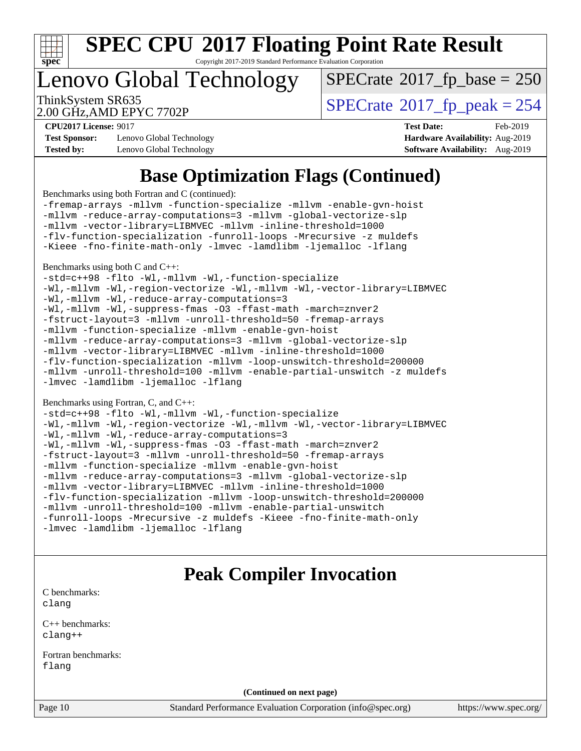

Copyright 2017-2019 Standard Performance Evaluation Corporation

# Lenovo Global Technology

 $SPECTate$ <sup>®</sup>[2017\\_fp\\_base =](http://www.spec.org/auto/cpu2017/Docs/result-fields.html#SPECrate2017fpbase) 250

2.00 GHz,AMD EPYC 7702P

ThinkSystem SR635<br>2.00 GHz AMD EPYC 7702P<br> $\begin{array}{c} | \text{SPECrate} \textcirc 2017\_fp\_peak = 254 \end{array}$  $\begin{array}{c} | \text{SPECrate} \textcirc 2017\_fp\_peak = 254 \end{array}$  $\begin{array}{c} | \text{SPECrate} \textcirc 2017\_fp\_peak = 254 \end{array}$ 

**[Test Sponsor:](http://www.spec.org/auto/cpu2017/Docs/result-fields.html#TestSponsor)** Lenovo Global Technology **[Hardware Availability:](http://www.spec.org/auto/cpu2017/Docs/result-fields.html#HardwareAvailability)** Aug-2019 **[Tested by:](http://www.spec.org/auto/cpu2017/Docs/result-fields.html#Testedby)** Lenovo Global Technology **[Software Availability:](http://www.spec.org/auto/cpu2017/Docs/result-fields.html#SoftwareAvailability)** Aug-2019

**[CPU2017 License:](http://www.spec.org/auto/cpu2017/Docs/result-fields.html#CPU2017License)** 9017 **[Test Date:](http://www.spec.org/auto/cpu2017/Docs/result-fields.html#TestDate)** Feb-2019

## **[Base Optimization Flags \(Continued\)](http://www.spec.org/auto/cpu2017/Docs/result-fields.html#BaseOptimizationFlags)**

[Benchmarks using both Fortran and C](http://www.spec.org/auto/cpu2017/Docs/result-fields.html#BenchmarksusingbothFortranandC) (continued):

[-fremap-arrays](http://www.spec.org/cpu2017/results/res2019q3/cpu2017-20190903-17664.flags.html#user_CC_FCbase_F-fremap-arrays) [-mllvm -function-specialize](http://www.spec.org/cpu2017/results/res2019q3/cpu2017-20190903-17664.flags.html#user_CC_FCbase_F-function-specialize_233b3bdba86027f1b094368157e481c5bc59f40286dc25bfadc1858dcd5745c24fd30d5f188710db7fea399bcc9f44a80b3ce3aacc70a8870250c3ae5e1f35b8) [-mllvm -enable-gvn-hoist](http://www.spec.org/cpu2017/results/res2019q3/cpu2017-20190903-17664.flags.html#user_CC_FCbase_F-enable-gvn-hoist_e5856354646dd6ca1333a0ad99b817e4cf8932b91b82809fd8fd47ceff7b22a89eba5c98fd3e3fa5200368fd772cec3dd56abc3c8f7b655a71b9f9848dddedd5) [-mllvm -reduce-array-computations=3](http://www.spec.org/cpu2017/results/res2019q3/cpu2017-20190903-17664.flags.html#user_CC_FCbase_F-reduce-array-computations_aceadb8604558b566e0e3a0d7a3c1533923dd1fa0889614e16288028922629a28d5695c24d3b3be4306b1e311c54317dfffe3a2e57fbcaabc737a1798de39145) [-mllvm -global-vectorize-slp](http://www.spec.org/cpu2017/results/res2019q3/cpu2017-20190903-17664.flags.html#user_CC_FCbase_F-global-vectorize-slp_a3935e8627af4ced727033b1ffd4db27f4d541a363d28d82bf4c2925fb3a0fd4115d6e42d13a2829f9e024d6608eb67a85cb49770f2da5c5ac8dbc737afad603) [-mllvm -vector-library=LIBMVEC](http://www.spec.org/cpu2017/results/res2019q3/cpu2017-20190903-17664.flags.html#user_CC_FCbase_F-use-vector-library_e584e20b4f7ec96aa109254b65d8e01d864f3d68580371b9d93ed7c338191d4cfce20c3c864632264effc6bbe4c7c38153d02096a342ee92501c4a53204a7871) [-mllvm -inline-threshold=1000](http://www.spec.org/cpu2017/results/res2019q3/cpu2017-20190903-17664.flags.html#user_CC_FCbase_dragonegg-llvm-inline-threshold_b7832241b0a6397e4ecdbaf0eb7defdc10f885c2a282fa3240fdc99844d543fda39cf8a4a9dccf68cf19b5438ac3b455264f478df15da0f4988afa40d8243bab) [-flv-function-specialization](http://www.spec.org/cpu2017/results/res2019q3/cpu2017-20190903-17664.flags.html#user_CC_FCbase_F-flv-function-specialization) [-funroll-loops](http://www.spec.org/cpu2017/results/res2019q3/cpu2017-20190903-17664.flags.html#user_CC_FCbase_aocc-unroll-loops) [-Mrecursive](http://www.spec.org/cpu2017/results/res2019q3/cpu2017-20190903-17664.flags.html#user_CC_FCbase_F-mrecursive_20a145d63f12d5750a899e17d4450b5b8b40330a9bb4af13688ca650e6fb30857bbbe44fb35cdbb895df6e5b2769de0a0d7659f51ff17acfbef6febafec4023f) [-z muldefs](http://www.spec.org/cpu2017/results/res2019q3/cpu2017-20190903-17664.flags.html#user_CC_FCbase_aocc-muldefs) [-Kieee](http://www.spec.org/cpu2017/results/res2019q3/cpu2017-20190903-17664.flags.html#user_CC_FCbase_F-kieee) [-fno-finite-math-only](http://www.spec.org/cpu2017/results/res2019q3/cpu2017-20190903-17664.flags.html#user_CC_FCbase_aocc-fno-finite-math-only) [-lmvec](http://www.spec.org/cpu2017/results/res2019q3/cpu2017-20190903-17664.flags.html#user_CC_FCbase_F-lmvec) [-lamdlibm](http://www.spec.org/cpu2017/results/res2019q3/cpu2017-20190903-17664.flags.html#user_CC_FCbase_F-lamdlibm) [-ljemalloc](http://www.spec.org/cpu2017/results/res2019q3/cpu2017-20190903-17664.flags.html#user_CC_FCbase_jemalloc-lib) [-lflang](http://www.spec.org/cpu2017/results/res2019q3/cpu2017-20190903-17664.flags.html#user_CC_FCbase_F-lflang)

[Benchmarks using both C and C++](http://www.spec.org/auto/cpu2017/Docs/result-fields.html#BenchmarksusingbothCandCXX):

[-std=c++98](http://www.spec.org/cpu2017/results/res2019q3/cpu2017-20190903-17664.flags.html#user_CC_CXXbase_std-cpp) [-flto](http://www.spec.org/cpu2017/results/res2019q3/cpu2017-20190903-17664.flags.html#user_CC_CXXbase_aocc-flto) [-Wl,-mllvm -Wl,-function-specialize](http://www.spec.org/cpu2017/results/res2019q3/cpu2017-20190903-17664.flags.html#user_CC_CXXbase_F-function-specialize_7e7e661e57922243ee67c9a1251cb8910e607325179a0ce7f2884e09a6f5d4a5ef0ae4f37e8a2a11c95fc48e931f06dc2b6016f14b511fcb441e048bef1b065a)

[-Wl,-mllvm -Wl,-region-vectorize](http://www.spec.org/cpu2017/results/res2019q3/cpu2017-20190903-17664.flags.html#user_CC_CXXbase_F-region-vectorize_fb6c6b5aa293c88efc6c7c2b52b20755e943585b1fe8658c35afef78727fff56e1a56891413c30e36b8e2a6f9a71126986319243e80eb6110b78b288f533c52b) [-Wl,-mllvm -Wl,-vector-library=LIBMVEC](http://www.spec.org/cpu2017/results/res2019q3/cpu2017-20190903-17664.flags.html#user_CC_CXXbase_F-use-vector-library_0a14b27fae317f283640384a31f7bfcc2bd4c1d0b5cfc618a3a430800c9b20217b00f61303eff223a3251b4f06ffbc9739dc5296db9d1fbb9ad24a3939d86d66) [-Wl,-mllvm -Wl,-reduce-array-computations=3](http://www.spec.org/cpu2017/results/res2019q3/cpu2017-20190903-17664.flags.html#user_CC_CXXbase_F-reduce-array-computations_b882aefe7a5dda4e33149f6299762b9a720dace3e498e13756f4c04e5a19edf5315c1f3993de2e61ec41e8c206231f84e05da7040e1bb5d69ba27d10a12507e4) [-Wl,-mllvm -Wl,-suppress-fmas](http://www.spec.org/cpu2017/results/res2019q3/cpu2017-20190903-17664.flags.html#user_CC_CXXbase_F-suppress-fmas_f00f00630e4a059e8af9c161e9bbf420bcf19890a7f99d5933525e66aa4b0bb3ab2339d2b12d97d3a5f5d271e839fe9c109938e91fe06230fb53651590cfa1e8) [-O3](http://www.spec.org/cpu2017/results/res2019q3/cpu2017-20190903-17664.flags.html#user_CC_CXXbase_F-O3) [-ffast-math](http://www.spec.org/cpu2017/results/res2019q3/cpu2017-20190903-17664.flags.html#user_CC_CXXbase_aocc-ffast-math) [-march=znver2](http://www.spec.org/cpu2017/results/res2019q3/cpu2017-20190903-17664.flags.html#user_CC_CXXbase_aocc-march_3e2e19cff2eeef60c5d90b059483627c9ea47eca6d66670dbd53f9185f6439e27eb5e104cf773e9e8ab18c8842ce63e461a3e948d0214bd567ef3ade411bf467) [-fstruct-layout=3](http://www.spec.org/cpu2017/results/res2019q3/cpu2017-20190903-17664.flags.html#user_CC_CXXbase_F-struct-layout) [-mllvm -unroll-threshold=50](http://www.spec.org/cpu2017/results/res2019q3/cpu2017-20190903-17664.flags.html#user_CC_CXXbase_F-unroll-threshold_458874500b2c105d6d5cb4d7a611c40e2b16e9e3d26b355fea72d644c3673b4de4b3932662f0ed3dbec75c491a13da2d2ca81180bd779dc531083ef1e1e549dc) [-fremap-arrays](http://www.spec.org/cpu2017/results/res2019q3/cpu2017-20190903-17664.flags.html#user_CC_CXXbase_F-fremap-arrays) [-mllvm -function-specialize](http://www.spec.org/cpu2017/results/res2019q3/cpu2017-20190903-17664.flags.html#user_CC_CXXbase_F-function-specialize_233b3bdba86027f1b094368157e481c5bc59f40286dc25bfadc1858dcd5745c24fd30d5f188710db7fea399bcc9f44a80b3ce3aacc70a8870250c3ae5e1f35b8) [-mllvm -enable-gvn-hoist](http://www.spec.org/cpu2017/results/res2019q3/cpu2017-20190903-17664.flags.html#user_CC_CXXbase_F-enable-gvn-hoist_e5856354646dd6ca1333a0ad99b817e4cf8932b91b82809fd8fd47ceff7b22a89eba5c98fd3e3fa5200368fd772cec3dd56abc3c8f7b655a71b9f9848dddedd5) [-mllvm -reduce-array-computations=3](http://www.spec.org/cpu2017/results/res2019q3/cpu2017-20190903-17664.flags.html#user_CC_CXXbase_F-reduce-array-computations_aceadb8604558b566e0e3a0d7a3c1533923dd1fa0889614e16288028922629a28d5695c24d3b3be4306b1e311c54317dfffe3a2e57fbcaabc737a1798de39145) [-mllvm -global-vectorize-slp](http://www.spec.org/cpu2017/results/res2019q3/cpu2017-20190903-17664.flags.html#user_CC_CXXbase_F-global-vectorize-slp_a3935e8627af4ced727033b1ffd4db27f4d541a363d28d82bf4c2925fb3a0fd4115d6e42d13a2829f9e024d6608eb67a85cb49770f2da5c5ac8dbc737afad603) [-mllvm -vector-library=LIBMVEC](http://www.spec.org/cpu2017/results/res2019q3/cpu2017-20190903-17664.flags.html#user_CC_CXXbase_F-use-vector-library_e584e20b4f7ec96aa109254b65d8e01d864f3d68580371b9d93ed7c338191d4cfce20c3c864632264effc6bbe4c7c38153d02096a342ee92501c4a53204a7871) [-mllvm -inline-threshold=1000](http://www.spec.org/cpu2017/results/res2019q3/cpu2017-20190903-17664.flags.html#user_CC_CXXbase_dragonegg-llvm-inline-threshold_b7832241b0a6397e4ecdbaf0eb7defdc10f885c2a282fa3240fdc99844d543fda39cf8a4a9dccf68cf19b5438ac3b455264f478df15da0f4988afa40d8243bab) [-flv-function-specialization](http://www.spec.org/cpu2017/results/res2019q3/cpu2017-20190903-17664.flags.html#user_CC_CXXbase_F-flv-function-specialization) [-mllvm -loop-unswitch-threshold=200000](http://www.spec.org/cpu2017/results/res2019q3/cpu2017-20190903-17664.flags.html#user_CC_CXXbase_F-loop-unswitch-threshold_f9a82ae3270e55b5fbf79d0d96ee93606b73edbbe527d20b18b7bff1a3a146ad50cfc7454c5297978340ae9213029016a7d16221274d672d3f7f42ed25274e1d) [-mllvm -unroll-threshold=100](http://www.spec.org/cpu2017/results/res2019q3/cpu2017-20190903-17664.flags.html#user_CC_CXXbase_F-unroll-threshold_2755d0c78138845d361fa1543e3a063fffa198df9b3edf0cfb856bbc88a81e1769b12ac7a550c5d35197be55360db1a3f95a8d1304df999456cabf5120c45168) [-mllvm -enable-partial-unswitch](http://www.spec.org/cpu2017/results/res2019q3/cpu2017-20190903-17664.flags.html#user_CC_CXXbase_F-enable-partial-unswitch_6e1c33f981d77963b1eaf834973128a7f33ce3f8e27f54689656697a35e89dcc875281e0e6283d043e32f367dcb605ba0e307a92e830f7e326789fa6c61b35d3) [-z muldefs](http://www.spec.org/cpu2017/results/res2019q3/cpu2017-20190903-17664.flags.html#user_CC_CXXbase_aocc-muldefs) [-lmvec](http://www.spec.org/cpu2017/results/res2019q3/cpu2017-20190903-17664.flags.html#user_CC_CXXbase_F-lmvec) [-lamdlibm](http://www.spec.org/cpu2017/results/res2019q3/cpu2017-20190903-17664.flags.html#user_CC_CXXbase_F-lamdlibm) [-ljemalloc](http://www.spec.org/cpu2017/results/res2019q3/cpu2017-20190903-17664.flags.html#user_CC_CXXbase_jemalloc-lib) [-lflang](http://www.spec.org/cpu2017/results/res2019q3/cpu2017-20190903-17664.flags.html#user_CC_CXXbase_F-lflang)

[Benchmarks using Fortran, C, and C++:](http://www.spec.org/auto/cpu2017/Docs/result-fields.html#BenchmarksusingFortranCandCXX)

[-std=c++98](http://www.spec.org/cpu2017/results/res2019q3/cpu2017-20190903-17664.flags.html#user_CC_CXX_FCbase_std-cpp) [-flto](http://www.spec.org/cpu2017/results/res2019q3/cpu2017-20190903-17664.flags.html#user_CC_CXX_FCbase_aocc-flto) [-Wl,-mllvm -Wl,-function-specialize](http://www.spec.org/cpu2017/results/res2019q3/cpu2017-20190903-17664.flags.html#user_CC_CXX_FCbase_F-function-specialize_7e7e661e57922243ee67c9a1251cb8910e607325179a0ce7f2884e09a6f5d4a5ef0ae4f37e8a2a11c95fc48e931f06dc2b6016f14b511fcb441e048bef1b065a) [-Wl,-mllvm -Wl,-region-vectorize](http://www.spec.org/cpu2017/results/res2019q3/cpu2017-20190903-17664.flags.html#user_CC_CXX_FCbase_F-region-vectorize_fb6c6b5aa293c88efc6c7c2b52b20755e943585b1fe8658c35afef78727fff56e1a56891413c30e36b8e2a6f9a71126986319243e80eb6110b78b288f533c52b) [-Wl,-mllvm -Wl,-vector-library=LIBMVEC](http://www.spec.org/cpu2017/results/res2019q3/cpu2017-20190903-17664.flags.html#user_CC_CXX_FCbase_F-use-vector-library_0a14b27fae317f283640384a31f7bfcc2bd4c1d0b5cfc618a3a430800c9b20217b00f61303eff223a3251b4f06ffbc9739dc5296db9d1fbb9ad24a3939d86d66) [-Wl,-mllvm -Wl,-reduce-array-computations=3](http://www.spec.org/cpu2017/results/res2019q3/cpu2017-20190903-17664.flags.html#user_CC_CXX_FCbase_F-reduce-array-computations_b882aefe7a5dda4e33149f6299762b9a720dace3e498e13756f4c04e5a19edf5315c1f3993de2e61ec41e8c206231f84e05da7040e1bb5d69ba27d10a12507e4) [-Wl,-mllvm -Wl,-suppress-fmas](http://www.spec.org/cpu2017/results/res2019q3/cpu2017-20190903-17664.flags.html#user_CC_CXX_FCbase_F-suppress-fmas_f00f00630e4a059e8af9c161e9bbf420bcf19890a7f99d5933525e66aa4b0bb3ab2339d2b12d97d3a5f5d271e839fe9c109938e91fe06230fb53651590cfa1e8) [-O3](http://www.spec.org/cpu2017/results/res2019q3/cpu2017-20190903-17664.flags.html#user_CC_CXX_FCbase_F-O3) [-ffast-math](http://www.spec.org/cpu2017/results/res2019q3/cpu2017-20190903-17664.flags.html#user_CC_CXX_FCbase_aocc-ffast-math) [-march=znver2](http://www.spec.org/cpu2017/results/res2019q3/cpu2017-20190903-17664.flags.html#user_CC_CXX_FCbase_aocc-march_3e2e19cff2eeef60c5d90b059483627c9ea47eca6d66670dbd53f9185f6439e27eb5e104cf773e9e8ab18c8842ce63e461a3e948d0214bd567ef3ade411bf467) [-fstruct-layout=3](http://www.spec.org/cpu2017/results/res2019q3/cpu2017-20190903-17664.flags.html#user_CC_CXX_FCbase_F-struct-layout) [-mllvm -unroll-threshold=50](http://www.spec.org/cpu2017/results/res2019q3/cpu2017-20190903-17664.flags.html#user_CC_CXX_FCbase_F-unroll-threshold_458874500b2c105d6d5cb4d7a611c40e2b16e9e3d26b355fea72d644c3673b4de4b3932662f0ed3dbec75c491a13da2d2ca81180bd779dc531083ef1e1e549dc) [-fremap-arrays](http://www.spec.org/cpu2017/results/res2019q3/cpu2017-20190903-17664.flags.html#user_CC_CXX_FCbase_F-fremap-arrays) [-mllvm -function-specialize](http://www.spec.org/cpu2017/results/res2019q3/cpu2017-20190903-17664.flags.html#user_CC_CXX_FCbase_F-function-specialize_233b3bdba86027f1b094368157e481c5bc59f40286dc25bfadc1858dcd5745c24fd30d5f188710db7fea399bcc9f44a80b3ce3aacc70a8870250c3ae5e1f35b8) [-mllvm -enable-gvn-hoist](http://www.spec.org/cpu2017/results/res2019q3/cpu2017-20190903-17664.flags.html#user_CC_CXX_FCbase_F-enable-gvn-hoist_e5856354646dd6ca1333a0ad99b817e4cf8932b91b82809fd8fd47ceff7b22a89eba5c98fd3e3fa5200368fd772cec3dd56abc3c8f7b655a71b9f9848dddedd5) [-mllvm -reduce-array-computations=3](http://www.spec.org/cpu2017/results/res2019q3/cpu2017-20190903-17664.flags.html#user_CC_CXX_FCbase_F-reduce-array-computations_aceadb8604558b566e0e3a0d7a3c1533923dd1fa0889614e16288028922629a28d5695c24d3b3be4306b1e311c54317dfffe3a2e57fbcaabc737a1798de39145) [-mllvm -global-vectorize-slp](http://www.spec.org/cpu2017/results/res2019q3/cpu2017-20190903-17664.flags.html#user_CC_CXX_FCbase_F-global-vectorize-slp_a3935e8627af4ced727033b1ffd4db27f4d541a363d28d82bf4c2925fb3a0fd4115d6e42d13a2829f9e024d6608eb67a85cb49770f2da5c5ac8dbc737afad603) [-mllvm -vector-library=LIBMVEC](http://www.spec.org/cpu2017/results/res2019q3/cpu2017-20190903-17664.flags.html#user_CC_CXX_FCbase_F-use-vector-library_e584e20b4f7ec96aa109254b65d8e01d864f3d68580371b9d93ed7c338191d4cfce20c3c864632264effc6bbe4c7c38153d02096a342ee92501c4a53204a7871) [-mllvm -inline-threshold=1000](http://www.spec.org/cpu2017/results/res2019q3/cpu2017-20190903-17664.flags.html#user_CC_CXX_FCbase_dragonegg-llvm-inline-threshold_b7832241b0a6397e4ecdbaf0eb7defdc10f885c2a282fa3240fdc99844d543fda39cf8a4a9dccf68cf19b5438ac3b455264f478df15da0f4988afa40d8243bab) [-flv-function-specialization](http://www.spec.org/cpu2017/results/res2019q3/cpu2017-20190903-17664.flags.html#user_CC_CXX_FCbase_F-flv-function-specialization) [-mllvm -loop-unswitch-threshold=200000](http://www.spec.org/cpu2017/results/res2019q3/cpu2017-20190903-17664.flags.html#user_CC_CXX_FCbase_F-loop-unswitch-threshold_f9a82ae3270e55b5fbf79d0d96ee93606b73edbbe527d20b18b7bff1a3a146ad50cfc7454c5297978340ae9213029016a7d16221274d672d3f7f42ed25274e1d) [-mllvm -unroll-threshold=100](http://www.spec.org/cpu2017/results/res2019q3/cpu2017-20190903-17664.flags.html#user_CC_CXX_FCbase_F-unroll-threshold_2755d0c78138845d361fa1543e3a063fffa198df9b3edf0cfb856bbc88a81e1769b12ac7a550c5d35197be55360db1a3f95a8d1304df999456cabf5120c45168) [-mllvm -enable-partial-unswitch](http://www.spec.org/cpu2017/results/res2019q3/cpu2017-20190903-17664.flags.html#user_CC_CXX_FCbase_F-enable-partial-unswitch_6e1c33f981d77963b1eaf834973128a7f33ce3f8e27f54689656697a35e89dcc875281e0e6283d043e32f367dcb605ba0e307a92e830f7e326789fa6c61b35d3) [-funroll-loops](http://www.spec.org/cpu2017/results/res2019q3/cpu2017-20190903-17664.flags.html#user_CC_CXX_FCbase_aocc-unroll-loops) [-Mrecursive](http://www.spec.org/cpu2017/results/res2019q3/cpu2017-20190903-17664.flags.html#user_CC_CXX_FCbase_F-mrecursive_20a145d63f12d5750a899e17d4450b5b8b40330a9bb4af13688ca650e6fb30857bbbe44fb35cdbb895df6e5b2769de0a0d7659f51ff17acfbef6febafec4023f) [-z muldefs](http://www.spec.org/cpu2017/results/res2019q3/cpu2017-20190903-17664.flags.html#user_CC_CXX_FCbase_aocc-muldefs) [-Kieee](http://www.spec.org/cpu2017/results/res2019q3/cpu2017-20190903-17664.flags.html#user_CC_CXX_FCbase_F-kieee) [-fno-finite-math-only](http://www.spec.org/cpu2017/results/res2019q3/cpu2017-20190903-17664.flags.html#user_CC_CXX_FCbase_aocc-fno-finite-math-only) [-lmvec](http://www.spec.org/cpu2017/results/res2019q3/cpu2017-20190903-17664.flags.html#user_CC_CXX_FCbase_F-lmvec) [-lamdlibm](http://www.spec.org/cpu2017/results/res2019q3/cpu2017-20190903-17664.flags.html#user_CC_CXX_FCbase_F-lamdlibm) [-ljemalloc](http://www.spec.org/cpu2017/results/res2019q3/cpu2017-20190903-17664.flags.html#user_CC_CXX_FCbase_jemalloc-lib) [-lflang](http://www.spec.org/cpu2017/results/res2019q3/cpu2017-20190903-17664.flags.html#user_CC_CXX_FCbase_F-lflang)

## **[Peak Compiler Invocation](http://www.spec.org/auto/cpu2017/Docs/result-fields.html#PeakCompilerInvocation)**

[C benchmarks](http://www.spec.org/auto/cpu2017/Docs/result-fields.html#Cbenchmarks): [clang](http://www.spec.org/cpu2017/results/res2019q3/cpu2017-20190903-17664.flags.html#user_CCpeak_clang-c)

[C++ benchmarks:](http://www.spec.org/auto/cpu2017/Docs/result-fields.html#CXXbenchmarks) [clang++](http://www.spec.org/cpu2017/results/res2019q3/cpu2017-20190903-17664.flags.html#user_CXXpeak_clang-cpp)

[Fortran benchmarks](http://www.spec.org/auto/cpu2017/Docs/result-fields.html#Fortranbenchmarks): [flang](http://www.spec.org/cpu2017/results/res2019q3/cpu2017-20190903-17664.flags.html#user_FCpeak_flang)

**(Continued on next page)**

Page 10 Standard Performance Evaluation Corporation [\(info@spec.org\)](mailto:info@spec.org) <https://www.spec.org/>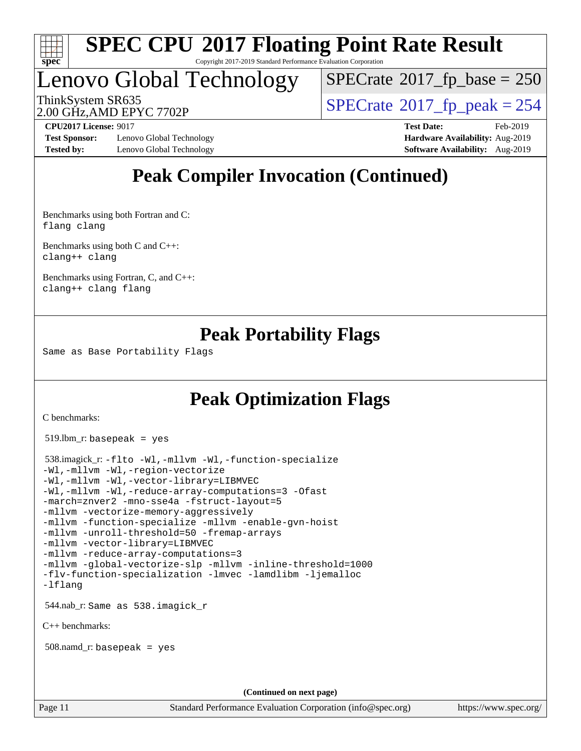

#### **[SPEC CPU](http://www.spec.org/auto/cpu2017/Docs/result-fields.html#SPECCPU2017FloatingPointRateResult)[2017 Floating Point Rate Result](http://www.spec.org/auto/cpu2017/Docs/result-fields.html#SPECCPU2017FloatingPointRateResult)** Copyright 2017-2019 Standard Performance Evaluation Corporation

# Lenovo Global Technology

 $SPECTate$ <sup>®</sup>[2017\\_fp\\_base =](http://www.spec.org/auto/cpu2017/Docs/result-fields.html#SPECrate2017fpbase) 250

2.00 GHz,AMD EPYC 7702P

ThinkSystem SR635<br>2.00 GHz AMD FPYC 7702P<br> $\begin{array}{c} | \text{SPECrate} \textcirc 2017\_fp\_peak = 254 \end{array}$  $\begin{array}{c} | \text{SPECrate} \textcirc 2017\_fp\_peak = 254 \end{array}$  $\begin{array}{c} | \text{SPECrate} \textcirc 2017\_fp\_peak = 254 \end{array}$ 

**[Test Sponsor:](http://www.spec.org/auto/cpu2017/Docs/result-fields.html#TestSponsor)** Lenovo Global Technology **[Hardware Availability:](http://www.spec.org/auto/cpu2017/Docs/result-fields.html#HardwareAvailability)** Aug-2019 **[Tested by:](http://www.spec.org/auto/cpu2017/Docs/result-fields.html#Testedby)** Lenovo Global Technology **[Software Availability:](http://www.spec.org/auto/cpu2017/Docs/result-fields.html#SoftwareAvailability)** Aug-2019

**[CPU2017 License:](http://www.spec.org/auto/cpu2017/Docs/result-fields.html#CPU2017License)** 9017 **[Test Date:](http://www.spec.org/auto/cpu2017/Docs/result-fields.html#TestDate)** Feb-2019

## **[Peak Compiler Invocation \(Continued\)](http://www.spec.org/auto/cpu2017/Docs/result-fields.html#PeakCompilerInvocation)**

[Benchmarks using both Fortran and C](http://www.spec.org/auto/cpu2017/Docs/result-fields.html#BenchmarksusingbothFortranandC): [flang](http://www.spec.org/cpu2017/results/res2019q3/cpu2017-20190903-17664.flags.html#user_CC_FCpeak_flang) [clang](http://www.spec.org/cpu2017/results/res2019q3/cpu2017-20190903-17664.flags.html#user_CC_FCpeak_clang-c)

[Benchmarks using both C and C++](http://www.spec.org/auto/cpu2017/Docs/result-fields.html#BenchmarksusingbothCandCXX): [clang++](http://www.spec.org/cpu2017/results/res2019q3/cpu2017-20190903-17664.flags.html#user_CC_CXXpeak_clang-cpp) [clang](http://www.spec.org/cpu2017/results/res2019q3/cpu2017-20190903-17664.flags.html#user_CC_CXXpeak_clang-c)

[Benchmarks using Fortran, C, and C++:](http://www.spec.org/auto/cpu2017/Docs/result-fields.html#BenchmarksusingFortranCandCXX) [clang++](http://www.spec.org/cpu2017/results/res2019q3/cpu2017-20190903-17664.flags.html#user_CC_CXX_FCpeak_clang-cpp) [clang](http://www.spec.org/cpu2017/results/res2019q3/cpu2017-20190903-17664.flags.html#user_CC_CXX_FCpeak_clang-c) [flang](http://www.spec.org/cpu2017/results/res2019q3/cpu2017-20190903-17664.flags.html#user_CC_CXX_FCpeak_flang)

### **[Peak Portability Flags](http://www.spec.org/auto/cpu2017/Docs/result-fields.html#PeakPortabilityFlags)**

Same as Base Portability Flags

## **[Peak Optimization Flags](http://www.spec.org/auto/cpu2017/Docs/result-fields.html#PeakOptimizationFlags)**

[C benchmarks](http://www.spec.org/auto/cpu2017/Docs/result-fields.html#Cbenchmarks):

519.lbm\_r: basepeak = yes

```
 538.imagick_r: -flto -Wl,-mllvm -Wl,-function-specialize
-Wl,-mllvm -Wl,-region-vectorize
-Wl,-mllvm -Wl,-vector-library=LIBMVEC
-Wl,-mllvm -Wl,-reduce-array-computations=3 -Ofast
-march=znver2 -mno-sse4a -fstruct-layout=5
-mllvm -vectorize-memory-aggressively
-mllvm -function-specialize -mllvm -enable-gvn-hoist
-mllvm -unroll-threshold=50 -fremap-arrays
-mllvm -vector-library=LIBMVEC
-mllvm -reduce-array-computations=3
-mllvm -global-vectorize-slp -mllvm -inline-threshold=1000
-flv-function-specialization -lmvec -lamdlibm -ljemalloc
-lflang
 544.nab_r: Same as 538.imagick_r
C++ benchmarks: 
 508.namd_r: basepeak = yes
                                     (Continued on next page)
```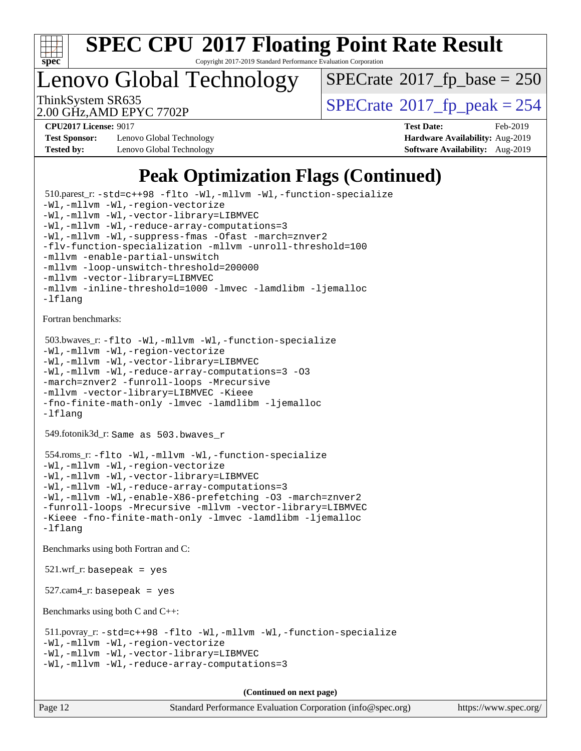

Copyright 2017-2019 Standard Performance Evaluation Corporation

Lenovo Global Technology

 $SPECTate$ <sup>®</sup>[2017\\_fp\\_base =](http://www.spec.org/auto/cpu2017/Docs/result-fields.html#SPECrate2017fpbase) 250

2.00 GHz,AMD EPYC 7702P

ThinkSystem SR635<br>2.00 GHz AMD FPYC 7702P<br> $\begin{array}{c} | \text{SPECrate} \textcirc 2017\_fp\_peak = 254 \end{array}$  $\begin{array}{c} | \text{SPECrate} \textcirc 2017\_fp\_peak = 254 \end{array}$  $\begin{array}{c} | \text{SPECrate} \textcirc 2017\_fp\_peak = 254 \end{array}$ 

**[Test Sponsor:](http://www.spec.org/auto/cpu2017/Docs/result-fields.html#TestSponsor)** Lenovo Global Technology **[Hardware Availability:](http://www.spec.org/auto/cpu2017/Docs/result-fields.html#HardwareAvailability)** Aug-2019 **[Tested by:](http://www.spec.org/auto/cpu2017/Docs/result-fields.html#Testedby)** Lenovo Global Technology **[Software Availability:](http://www.spec.org/auto/cpu2017/Docs/result-fields.html#SoftwareAvailability)** Aug-2019

**[CPU2017 License:](http://www.spec.org/auto/cpu2017/Docs/result-fields.html#CPU2017License)** 9017 **[Test Date:](http://www.spec.org/auto/cpu2017/Docs/result-fields.html#TestDate)** Feb-2019

## **[Peak Optimization Flags \(Continued\)](http://www.spec.org/auto/cpu2017/Docs/result-fields.html#PeakOptimizationFlags)**

 510.parest\_r: [-std=c++98](http://www.spec.org/cpu2017/results/res2019q3/cpu2017-20190903-17664.flags.html#user_peakCXXLD510_parest_r_std-cpp) [-flto](http://www.spec.org/cpu2017/results/res2019q3/cpu2017-20190903-17664.flags.html#user_peakCXXOPTIMIZELDFLAGS510_parest_r_aocc-flto) [-Wl,-mllvm -Wl,-function-specialize](http://www.spec.org/cpu2017/results/res2019q3/cpu2017-20190903-17664.flags.html#user_peakLDFLAGS510_parest_r_F-function-specialize_7e7e661e57922243ee67c9a1251cb8910e607325179a0ce7f2884e09a6f5d4a5ef0ae4f37e8a2a11c95fc48e931f06dc2b6016f14b511fcb441e048bef1b065a) [-Wl,-mllvm -Wl,-region-vectorize](http://www.spec.org/cpu2017/results/res2019q3/cpu2017-20190903-17664.flags.html#user_peakLDFLAGS510_parest_r_F-region-vectorize_fb6c6b5aa293c88efc6c7c2b52b20755e943585b1fe8658c35afef78727fff56e1a56891413c30e36b8e2a6f9a71126986319243e80eb6110b78b288f533c52b) [-Wl,-mllvm -Wl,-vector-library=LIBMVEC](http://www.spec.org/cpu2017/results/res2019q3/cpu2017-20190903-17664.flags.html#user_peakLDFLAGS510_parest_r_F-use-vector-library_0a14b27fae317f283640384a31f7bfcc2bd4c1d0b5cfc618a3a430800c9b20217b00f61303eff223a3251b4f06ffbc9739dc5296db9d1fbb9ad24a3939d86d66) [-Wl,-mllvm -Wl,-reduce-array-computations=3](http://www.spec.org/cpu2017/results/res2019q3/cpu2017-20190903-17664.flags.html#user_peakLDFLAGS510_parest_r_F-reduce-array-computations_b882aefe7a5dda4e33149f6299762b9a720dace3e498e13756f4c04e5a19edf5315c1f3993de2e61ec41e8c206231f84e05da7040e1bb5d69ba27d10a12507e4) [-Wl,-mllvm -Wl,-suppress-fmas](http://www.spec.org/cpu2017/results/res2019q3/cpu2017-20190903-17664.flags.html#user_peakLDCXXFLAGS510_parest_r_F-suppress-fmas_f00f00630e4a059e8af9c161e9bbf420bcf19890a7f99d5933525e66aa4b0bb3ab2339d2b12d97d3a5f5d271e839fe9c109938e91fe06230fb53651590cfa1e8) [-Ofast](http://www.spec.org/cpu2017/results/res2019q3/cpu2017-20190903-17664.flags.html#user_peakCXXOPTIMIZE510_parest_r_aocc-Ofast) [-march=znver2](http://www.spec.org/cpu2017/results/res2019q3/cpu2017-20190903-17664.flags.html#user_peakCXXOPTIMIZE510_parest_r_aocc-march_3e2e19cff2eeef60c5d90b059483627c9ea47eca6d66670dbd53f9185f6439e27eb5e104cf773e9e8ab18c8842ce63e461a3e948d0214bd567ef3ade411bf467) [-flv-function-specialization](http://www.spec.org/cpu2017/results/res2019q3/cpu2017-20190903-17664.flags.html#user_peakCXXOPTIMIZE510_parest_r_F-flv-function-specialization) [-mllvm -unroll-threshold=100](http://www.spec.org/cpu2017/results/res2019q3/cpu2017-20190903-17664.flags.html#user_peakCXXOPTIMIZE510_parest_r_F-unroll-threshold_2755d0c78138845d361fa1543e3a063fffa198df9b3edf0cfb856bbc88a81e1769b12ac7a550c5d35197be55360db1a3f95a8d1304df999456cabf5120c45168) [-mllvm -enable-partial-unswitch](http://www.spec.org/cpu2017/results/res2019q3/cpu2017-20190903-17664.flags.html#user_peakCXXOPTIMIZE510_parest_r_F-enable-partial-unswitch_6e1c33f981d77963b1eaf834973128a7f33ce3f8e27f54689656697a35e89dcc875281e0e6283d043e32f367dcb605ba0e307a92e830f7e326789fa6c61b35d3) [-mllvm -loop-unswitch-threshold=200000](http://www.spec.org/cpu2017/results/res2019q3/cpu2017-20190903-17664.flags.html#user_peakCXXOPTIMIZE510_parest_r_F-loop-unswitch-threshold_f9a82ae3270e55b5fbf79d0d96ee93606b73edbbe527d20b18b7bff1a3a146ad50cfc7454c5297978340ae9213029016a7d16221274d672d3f7f42ed25274e1d) [-mllvm -vector-library=LIBMVEC](http://www.spec.org/cpu2017/results/res2019q3/cpu2017-20190903-17664.flags.html#user_peakCXXOPTIMIZE510_parest_r_F-use-vector-library_e584e20b4f7ec96aa109254b65d8e01d864f3d68580371b9d93ed7c338191d4cfce20c3c864632264effc6bbe4c7c38153d02096a342ee92501c4a53204a7871) [-mllvm -inline-threshold=1000](http://www.spec.org/cpu2017/results/res2019q3/cpu2017-20190903-17664.flags.html#user_peakCXXOPTIMIZE510_parest_r_dragonegg-llvm-inline-threshold_b7832241b0a6397e4ecdbaf0eb7defdc10f885c2a282fa3240fdc99844d543fda39cf8a4a9dccf68cf19b5438ac3b455264f478df15da0f4988afa40d8243bab) [-lmvec](http://www.spec.org/cpu2017/results/res2019q3/cpu2017-20190903-17664.flags.html#user_peakEXTRA_LIBS510_parest_r_F-lmvec) [-lamdlibm](http://www.spec.org/cpu2017/results/res2019q3/cpu2017-20190903-17664.flags.html#user_peakEXTRA_LIBS510_parest_r_F-lamdlibm) [-ljemalloc](http://www.spec.org/cpu2017/results/res2019q3/cpu2017-20190903-17664.flags.html#user_peakEXTRA_LIBS510_parest_r_jemalloc-lib) [-lflang](http://www.spec.org/cpu2017/results/res2019q3/cpu2017-20190903-17664.flags.html#user_peakEXTRA_LIBS510_parest_r_F-lflang) [Fortran benchmarks](http://www.spec.org/auto/cpu2017/Docs/result-fields.html#Fortranbenchmarks): 503.bwaves\_r: [-flto](http://www.spec.org/cpu2017/results/res2019q3/cpu2017-20190903-17664.flags.html#user_peakFOPTIMIZELDFLAGS503_bwaves_r_aocc-flto) [-Wl,-mllvm -Wl,-function-specialize](http://www.spec.org/cpu2017/results/res2019q3/cpu2017-20190903-17664.flags.html#user_peakLDFLAGS503_bwaves_r_F-function-specialize_7e7e661e57922243ee67c9a1251cb8910e607325179a0ce7f2884e09a6f5d4a5ef0ae4f37e8a2a11c95fc48e931f06dc2b6016f14b511fcb441e048bef1b065a) [-Wl,-mllvm -Wl,-region-vectorize](http://www.spec.org/cpu2017/results/res2019q3/cpu2017-20190903-17664.flags.html#user_peakLDFLAGS503_bwaves_r_F-region-vectorize_fb6c6b5aa293c88efc6c7c2b52b20755e943585b1fe8658c35afef78727fff56e1a56891413c30e36b8e2a6f9a71126986319243e80eb6110b78b288f533c52b) [-Wl,-mllvm -Wl,-vector-library=LIBMVEC](http://www.spec.org/cpu2017/results/res2019q3/cpu2017-20190903-17664.flags.html#user_peakLDFLAGS503_bwaves_r_F-use-vector-library_0a14b27fae317f283640384a31f7bfcc2bd4c1d0b5cfc618a3a430800c9b20217b00f61303eff223a3251b4f06ffbc9739dc5296db9d1fbb9ad24a3939d86d66) [-Wl,-mllvm -Wl,-reduce-array-computations=3](http://www.spec.org/cpu2017/results/res2019q3/cpu2017-20190903-17664.flags.html#user_peakLDFLAGS503_bwaves_r_F-reduce-array-computations_b882aefe7a5dda4e33149f6299762b9a720dace3e498e13756f4c04e5a19edf5315c1f3993de2e61ec41e8c206231f84e05da7040e1bb5d69ba27d10a12507e4) [-O3](http://www.spec.org/cpu2017/results/res2019q3/cpu2017-20190903-17664.flags.html#user_peakFOPTIMIZE503_bwaves_r_F-O3) [-march=znver2](http://www.spec.org/cpu2017/results/res2019q3/cpu2017-20190903-17664.flags.html#user_peakFOPTIMIZE503_bwaves_r_aocc-march_3e2e19cff2eeef60c5d90b059483627c9ea47eca6d66670dbd53f9185f6439e27eb5e104cf773e9e8ab18c8842ce63e461a3e948d0214bd567ef3ade411bf467) [-funroll-loops](http://www.spec.org/cpu2017/results/res2019q3/cpu2017-20190903-17664.flags.html#user_peakFOPTIMIZE503_bwaves_r_aocc-unroll-loops) [-Mrecursive](http://www.spec.org/cpu2017/results/res2019q3/cpu2017-20190903-17664.flags.html#user_peakFOPTIMIZE503_bwaves_r_F-mrecursive_20a145d63f12d5750a899e17d4450b5b8b40330a9bb4af13688ca650e6fb30857bbbe44fb35cdbb895df6e5b2769de0a0d7659f51ff17acfbef6febafec4023f) [-mllvm -vector-library=LIBMVEC](http://www.spec.org/cpu2017/results/res2019q3/cpu2017-20190903-17664.flags.html#user_peakFOPTIMIZE503_bwaves_r_F-use-vector-library_e584e20b4f7ec96aa109254b65d8e01d864f3d68580371b9d93ed7c338191d4cfce20c3c864632264effc6bbe4c7c38153d02096a342ee92501c4a53204a7871) [-Kieee](http://www.spec.org/cpu2017/results/res2019q3/cpu2017-20190903-17664.flags.html#user_peakEXTRA_FFLAGS503_bwaves_r_F-kieee) [-fno-finite-math-only](http://www.spec.org/cpu2017/results/res2019q3/cpu2017-20190903-17664.flags.html#user_peakEXTRA_FFLAGS503_bwaves_r_aocc-fno-finite-math-only) [-lmvec](http://www.spec.org/cpu2017/results/res2019q3/cpu2017-20190903-17664.flags.html#user_peakEXTRA_FLIBSEXTRA_LIBS503_bwaves_r_F-lmvec) [-lamdlibm](http://www.spec.org/cpu2017/results/res2019q3/cpu2017-20190903-17664.flags.html#user_peakEXTRA_FLIBSEXTRA_LIBS503_bwaves_r_F-lamdlibm) [-ljemalloc](http://www.spec.org/cpu2017/results/res2019q3/cpu2017-20190903-17664.flags.html#user_peakEXTRA_LIBS503_bwaves_r_jemalloc-lib) [-lflang](http://www.spec.org/cpu2017/results/res2019q3/cpu2017-20190903-17664.flags.html#user_peakEXTRA_LIBS503_bwaves_r_F-lflang) 549.fotonik3d\_r: Same as 503.bwaves\_r 554.roms\_r: [-flto](http://www.spec.org/cpu2017/results/res2019q3/cpu2017-20190903-17664.flags.html#user_peakFOPTIMIZELDFLAGS554_roms_r_aocc-flto) [-Wl,-mllvm -Wl,-function-specialize](http://www.spec.org/cpu2017/results/res2019q3/cpu2017-20190903-17664.flags.html#user_peakLDFLAGS554_roms_r_F-function-specialize_7e7e661e57922243ee67c9a1251cb8910e607325179a0ce7f2884e09a6f5d4a5ef0ae4f37e8a2a11c95fc48e931f06dc2b6016f14b511fcb441e048bef1b065a) [-Wl,-mllvm -Wl,-region-vectorize](http://www.spec.org/cpu2017/results/res2019q3/cpu2017-20190903-17664.flags.html#user_peakLDFLAGS554_roms_r_F-region-vectorize_fb6c6b5aa293c88efc6c7c2b52b20755e943585b1fe8658c35afef78727fff56e1a56891413c30e36b8e2a6f9a71126986319243e80eb6110b78b288f533c52b) [-Wl,-mllvm -Wl,-vector-library=LIBMVEC](http://www.spec.org/cpu2017/results/res2019q3/cpu2017-20190903-17664.flags.html#user_peakLDFLAGS554_roms_r_F-use-vector-library_0a14b27fae317f283640384a31f7bfcc2bd4c1d0b5cfc618a3a430800c9b20217b00f61303eff223a3251b4f06ffbc9739dc5296db9d1fbb9ad24a3939d86d66) [-Wl,-mllvm -Wl,-reduce-array-computations=3](http://www.spec.org/cpu2017/results/res2019q3/cpu2017-20190903-17664.flags.html#user_peakLDFLAGS554_roms_r_F-reduce-array-computations_b882aefe7a5dda4e33149f6299762b9a720dace3e498e13756f4c04e5a19edf5315c1f3993de2e61ec41e8c206231f84e05da7040e1bb5d69ba27d10a12507e4) [-Wl,-mllvm -Wl,-enable-X86-prefetching](http://www.spec.org/cpu2017/results/res2019q3/cpu2017-20190903-17664.flags.html#user_peakLDFFLAGS554_roms_r_F-enable-X86-prefetching_362de7b2f7f327d498ff3502bcaa6d8937de40fbbc59a600e539433e6b2cb9ea5e30d4a00c3465ce74a160670b5fcaffd57d10fdc90b0d7ee2c6f387a6bf1aee) [-O3](http://www.spec.org/cpu2017/results/res2019q3/cpu2017-20190903-17664.flags.html#user_peakFOPTIMIZE554_roms_r_F-O3) [-march=znver2](http://www.spec.org/cpu2017/results/res2019q3/cpu2017-20190903-17664.flags.html#user_peakFOPTIMIZE554_roms_r_aocc-march_3e2e19cff2eeef60c5d90b059483627c9ea47eca6d66670dbd53f9185f6439e27eb5e104cf773e9e8ab18c8842ce63e461a3e948d0214bd567ef3ade411bf467) [-funroll-loops](http://www.spec.org/cpu2017/results/res2019q3/cpu2017-20190903-17664.flags.html#user_peakFOPTIMIZE554_roms_r_aocc-unroll-loops) [-Mrecursive](http://www.spec.org/cpu2017/results/res2019q3/cpu2017-20190903-17664.flags.html#user_peakFOPTIMIZE554_roms_r_F-mrecursive_20a145d63f12d5750a899e17d4450b5b8b40330a9bb4af13688ca650e6fb30857bbbe44fb35cdbb895df6e5b2769de0a0d7659f51ff17acfbef6febafec4023f) [-mllvm -vector-library=LIBMVEC](http://www.spec.org/cpu2017/results/res2019q3/cpu2017-20190903-17664.flags.html#user_peakFOPTIMIZE554_roms_r_F-use-vector-library_e584e20b4f7ec96aa109254b65d8e01d864f3d68580371b9d93ed7c338191d4cfce20c3c864632264effc6bbe4c7c38153d02096a342ee92501c4a53204a7871) [-Kieee](http://www.spec.org/cpu2017/results/res2019q3/cpu2017-20190903-17664.flags.html#user_peakEXTRA_FFLAGS554_roms_r_F-kieee) [-fno-finite-math-only](http://www.spec.org/cpu2017/results/res2019q3/cpu2017-20190903-17664.flags.html#user_peakEXTRA_FFLAGS554_roms_r_aocc-fno-finite-math-only) [-lmvec](http://www.spec.org/cpu2017/results/res2019q3/cpu2017-20190903-17664.flags.html#user_peakEXTRA_FLIBSEXTRA_LIBS554_roms_r_F-lmvec) [-lamdlibm](http://www.spec.org/cpu2017/results/res2019q3/cpu2017-20190903-17664.flags.html#user_peakEXTRA_FLIBSEXTRA_LIBS554_roms_r_F-lamdlibm) [-ljemalloc](http://www.spec.org/cpu2017/results/res2019q3/cpu2017-20190903-17664.flags.html#user_peakEXTRA_LIBS554_roms_r_jemalloc-lib) [-lflang](http://www.spec.org/cpu2017/results/res2019q3/cpu2017-20190903-17664.flags.html#user_peakEXTRA_LIBS554_roms_r_F-lflang) [Benchmarks using both Fortran and C](http://www.spec.org/auto/cpu2017/Docs/result-fields.html#BenchmarksusingbothFortranandC):  $521.wrf$ . basepeak = yes  $527$ .cam $4$ \_r: basepeak = yes [Benchmarks using both C and C++](http://www.spec.org/auto/cpu2017/Docs/result-fields.html#BenchmarksusingbothCandCXX): 511.povray\_r: [-std=c++98](http://www.spec.org/cpu2017/results/res2019q3/cpu2017-20190903-17664.flags.html#user_peakCXXLD511_povray_r_std-cpp) [-flto](http://www.spec.org/cpu2017/results/res2019q3/cpu2017-20190903-17664.flags.html#user_peakCOPTIMIZECXXOPTIMIZELDFLAGS511_povray_r_aocc-flto) [-Wl,-mllvm -Wl,-function-specialize](http://www.spec.org/cpu2017/results/res2019q3/cpu2017-20190903-17664.flags.html#user_peakLDFLAGS511_povray_r_F-function-specialize_7e7e661e57922243ee67c9a1251cb8910e607325179a0ce7f2884e09a6f5d4a5ef0ae4f37e8a2a11c95fc48e931f06dc2b6016f14b511fcb441e048bef1b065a) [-Wl,-mllvm -Wl,-region-vectorize](http://www.spec.org/cpu2017/results/res2019q3/cpu2017-20190903-17664.flags.html#user_peakLDFLAGS511_povray_r_F-region-vectorize_fb6c6b5aa293c88efc6c7c2b52b20755e943585b1fe8658c35afef78727fff56e1a56891413c30e36b8e2a6f9a71126986319243e80eb6110b78b288f533c52b) [-Wl,-mllvm -Wl,-vector-library=LIBMVEC](http://www.spec.org/cpu2017/results/res2019q3/cpu2017-20190903-17664.flags.html#user_peakLDFLAGS511_povray_r_F-use-vector-library_0a14b27fae317f283640384a31f7bfcc2bd4c1d0b5cfc618a3a430800c9b20217b00f61303eff223a3251b4f06ffbc9739dc5296db9d1fbb9ad24a3939d86d66) [-Wl,-mllvm -Wl,-reduce-array-computations=3](http://www.spec.org/cpu2017/results/res2019q3/cpu2017-20190903-17664.flags.html#user_peakLDFLAGS511_povray_r_F-reduce-array-computations_b882aefe7a5dda4e33149f6299762b9a720dace3e498e13756f4c04e5a19edf5315c1f3993de2e61ec41e8c206231f84e05da7040e1bb5d69ba27d10a12507e4)

**(Continued on next page)**

Page 12 Standard Performance Evaluation Corporation [\(info@spec.org\)](mailto:info@spec.org) <https://www.spec.org/>